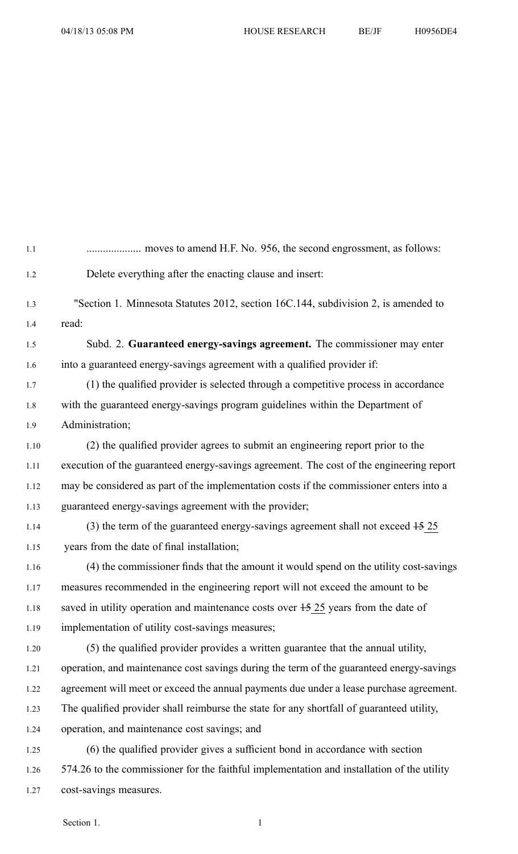| 1.1  |                                                                                            |
|------|--------------------------------------------------------------------------------------------|
| 1.2  | Delete everything after the enacting clause and insert:                                    |
| 1.3  | "Section 1. Minnesota Statutes 2012, section 16C.144, subdivision 2, is amended to         |
| 1.4  | read:                                                                                      |
| 1.5  | Subd. 2. Guaranteed energy-savings agreement. The commissioner may enter                   |
| 1.6  | into a guaranteed energy-savings agreement with a qualified provider if:                   |
| 1.7  | (1) the qualified provider is selected through a competitive process in accordance         |
| 1.8  | with the guaranteed energy-savings program guidelines within the Department of             |
| 1.9  | Administration;                                                                            |
| 1.10 | (2) the qualified provider agrees to submit an engineering report prior to the             |
| 1.11 | execution of the guaranteed energy-savings agreement. The cost of the engineering report   |
| 1.12 | may be considered as part of the implementation costs if the commissioner enters into a    |
| 1.13 | guaranteed energy-savings agreement with the provider;                                     |
| 1.14 | $(3)$ the term of the guaranteed energy-savings agreement shall not exceed $15\ 25$        |
| 1.15 | years from the date of final installation;                                                 |
| 1.16 | (4) the commissioner finds that the amount it would spend on the utility cost-savings      |
| 1.17 | measures recommended in the engineering report will not exceed the amount to be            |
| 1.18 | saved in utility operation and maintenance costs over $+5$ 25 years from the date of       |
| 1.19 | implementation of utility cost-savings measures;                                           |
| 1.20 | (5) the qualified provider provides a written guarantee that the annual utility,           |
| 1.21 | operation, and maintenance cost savings during the term of the guaranteed energy-savings   |
| 1.22 | agreement will meet or exceed the annual payments due under a lease purchase agreement.    |
| 1.23 | The qualified provider shall reimburse the state for any shortfall of guaranteed utility,  |
| 1.24 | operation, and maintenance cost savings; and                                               |
| 1.25 | (6) the qualified provider gives a sufficient bond in accordance with section              |
| 1.26 | 574.26 to the commissioner for the faithful implementation and installation of the utility |
| 1.27 | cost-savings measures.                                                                     |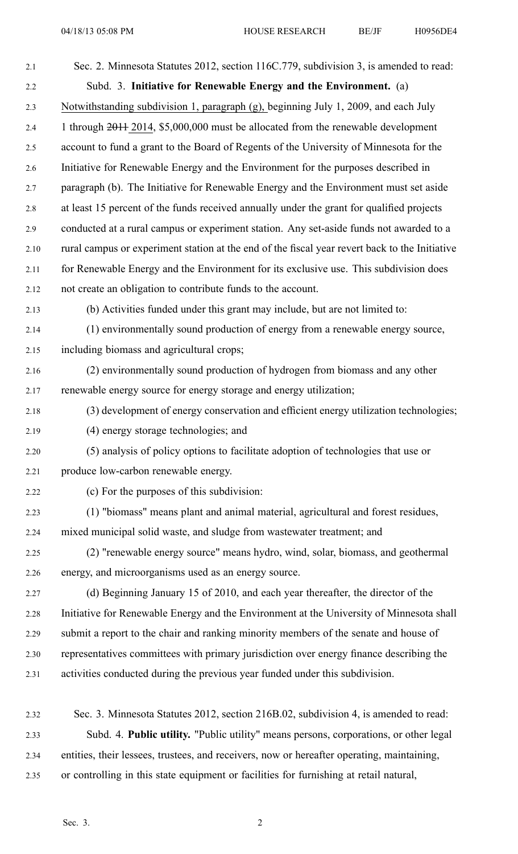| 2.1  | Sec. 2. Minnesota Statutes 2012, section 116C.779, subdivision 3, is amended to read:          |
|------|------------------------------------------------------------------------------------------------|
| 2.2  | Subd. 3. Initiative for Renewable Energy and the Environment. (a)                              |
| 2.3  | Notwithstanding subdivision 1, paragraph (g), beginning July 1, 2009, and each July            |
| 2.4  | 1 through 2014, \$5,000,000 must be allocated from the renewable development                   |
| 2.5  | account to fund a grant to the Board of Regents of the University of Minnesota for the         |
| 2.6  | Initiative for Renewable Energy and the Environment for the purposes described in              |
| 2.7  | paragraph (b). The Initiative for Renewable Energy and the Environment must set aside          |
| 2.8  | at least 15 percent of the funds received annually under the grant for qualified projects      |
| 2.9  | conducted at a rural campus or experiment station. Any set-aside funds not awarded to a        |
| 2.10 | rural campus or experiment station at the end of the fiscal year revert back to the Initiative |
| 2.11 | for Renewable Energy and the Environment for its exclusive use. This subdivision does          |
| 2.12 | not create an obligation to contribute funds to the account.                                   |
| 2.13 | (b) Activities funded under this grant may include, but are not limited to:                    |
| 2.14 | (1) environmentally sound production of energy from a renewable energy source,                 |
| 2.15 | including biomass and agricultural crops;                                                      |
| 2.16 | (2) environmentally sound production of hydrogen from biomass and any other                    |
| 2.17 | renewable energy source for energy storage and energy utilization;                             |
| 2.18 | (3) development of energy conservation and efficient energy utilization technologies;          |
| 2.19 | (4) energy storage technologies; and                                                           |
| 2.20 | (5) analysis of policy options to facilitate adoption of technologies that use or              |
| 2.21 | produce low-carbon renewable energy.                                                           |
| 2.22 | (c) For the purposes of this subdivision:                                                      |
| 2.23 | (1) "biomass" means plant and animal material, agricultural and forest residues,               |
| 2.24 | mixed municipal solid waste, and sludge from wastewater treatment; and                         |
| 2.25 | (2) "renewable energy source" means hydro, wind, solar, biomass, and geothermal                |
| 2.26 | energy, and microorganisms used as an energy source.                                           |
| 2.27 | (d) Beginning January 15 of 2010, and each year thereafter, the director of the                |
| 2.28 | Initiative for Renewable Energy and the Environment at the University of Minnesota shall       |
| 2.29 | submit a report to the chair and ranking minority members of the senate and house of           |
| 2.30 | representatives committees with primary jurisdiction over energy finance describing the        |
| 2.31 | activities conducted during the previous year funded under this subdivision.                   |
|      |                                                                                                |
| 2.32 | Sec. 3. Minnesota Statutes 2012, section 216B.02, subdivision 4, is amended to read:           |
| 2.33 | Subd. 4. Public utility. "Public utility" means persons, corporations, or other legal          |

2.34 entities, their lessees, trustees, and receivers, now or hereafter operating, maintaining, 2.35 or controlling in this state equipment or facilities for furnishing at retail natural,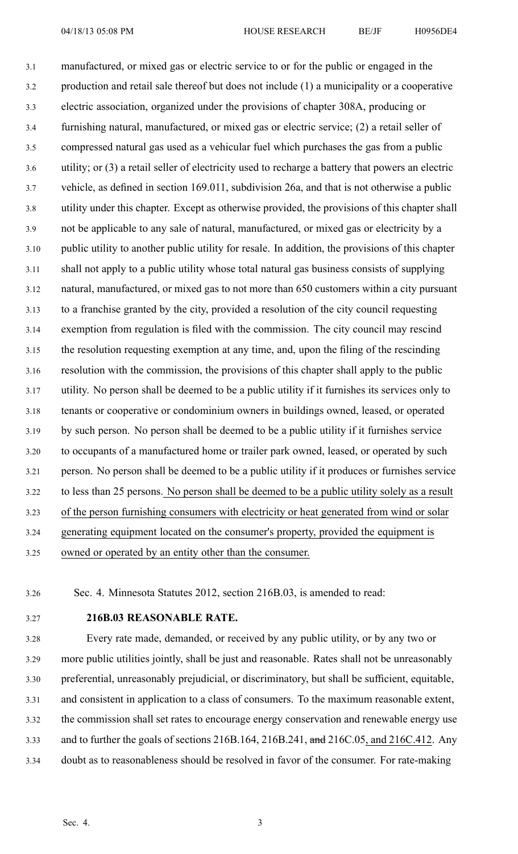3.1 manufactured, or mixed gas or electric service to or for the public or engaged in the 3.2 production and retail sale thereof but does not include (1) <sup>a</sup> municipality or <sup>a</sup> cooperative 3.3 electric association, organized under the provisions of chapter 308A, producing or 3.4 furnishing natural, manufactured, or mixed gas or electric service; (2) <sup>a</sup> retail seller of 3.5 compressed natural gas used as <sup>a</sup> vehicular fuel which purchases the gas from <sup>a</sup> public 3.6 utility; or (3) <sup>a</sup> retail seller of electricity used to recharge <sup>a</sup> battery that powers an electric 3.7 vehicle, as defined in section 169.011, subdivision 26a, and that is not otherwise <sup>a</sup> public 3.8 utility under this chapter. Except as otherwise provided, the provisions of this chapter shall 3.9 not be applicable to any sale of natural, manufactured, or mixed gas or electricity by <sup>a</sup> 3.10 public utility to another public utility for resale. In addition, the provisions of this chapter 3.11 shall not apply to <sup>a</sup> public utility whose total natural gas business consists of supplying 3.12 natural, manufactured, or mixed gas to not more than 650 customers within <sup>a</sup> city pursuan<sup>t</sup> 3.13 to <sup>a</sup> franchise granted by the city, provided <sup>a</sup> resolution of the city council requesting 3.14 exemption from regulation is filed with the commission. The city council may rescind 3.15 the resolution requesting exemption at any time, and, upon the filing of the rescinding 3.16 resolution with the commission, the provisions of this chapter shall apply to the public 3.17 utility. No person shall be deemed to be <sup>a</sup> public utility if it furnishes its services only to 3.18 tenants or cooperative or condominium owners in buildings owned, leased, or operated 3.19 by such person. No person shall be deemed to be <sup>a</sup> public utility if it furnishes service 3.20 to occupants of <sup>a</sup> manufactured home or trailer park owned, leased, or operated by such 3.21 person. No person shall be deemed to be <sup>a</sup> public utility if it produces or furnishes service 3.22 to less than 25 persons. No person shall be deemed to be <sup>a</sup> public utility solely as <sup>a</sup> result 3.23 of the person furnishing consumers with electricity or heat generated from wind or solar 3.24 generating equipment located on the consumer's property, provided the equipment is 3.25 owned or operated by an entity other than the consumer.

3.26 Sec. 4. Minnesota Statutes 2012, section 216B.03, is amended to read:

3.27 **216B.03 REASONABLE RATE.**

3.28 Every rate made, demanded, or received by any public utility, or by any two or 3.29 more public utilities jointly, shall be just and reasonable. Rates shall not be unreasonably 3.30 preferential, unreasonably prejudicial, or discriminatory, but shall be sufficient, equitable, 3.31 and consistent in application to <sup>a</sup> class of consumers. To the maximum reasonable extent, 3.32 the commission shall set rates to encourage energy conservation and renewable energy use 3.33 and to further the goals of sections 216B.164, 216B.241, and 216C.05, and 216C.412. Any 3.34 doubt as to reasonableness should be resolved in favor of the consumer. For rate-making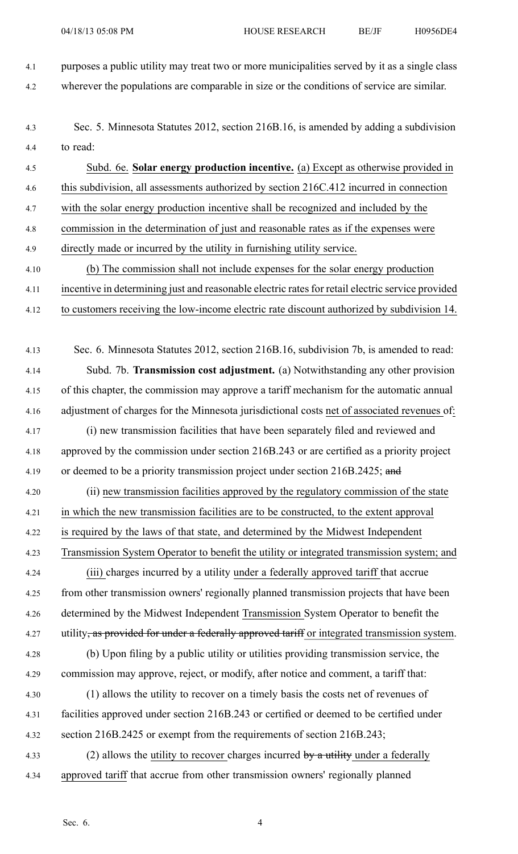4.1 purposes <sup>a</sup> public utility may treat two or more municipalities served by it as <sup>a</sup> single class

4.2 wherever the populations are comparable in size or the conditions of service are similar.

4.3 Sec. 5. Minnesota Statutes 2012, section 216B.16, is amended by adding <sup>a</sup> subdivision 4.4 to read:

4.5 Subd. 6e. **Solar energy production incentive.** (a) Except as otherwise provided in 4.6 this subdivision, all assessments authorized by section 216C.412 incurred in connection 4.7 with the solar energy production incentive shall be recognized and included by the 4.8 commission in the determination of just and reasonable rates as if the expenses were 4.9 directly made or incurred by the utility in furnishing utility service.

- 4.10 (b) The commission shall not include expenses for the solar energy production 4.11 incentive in determining just and reasonable electric ratesfor retail electric service provided
- 4.12 to customers receiving the low-income electric rate discount authorized by subdivision 14.
- 4.13 Sec. 6. Minnesota Statutes 2012, section 216B.16, subdivision 7b, is amended to read: 4.14 Subd. 7b. **Transmission cost adjustment.** (a) Notwithstanding any other provision 4.15 of this chapter, the commission may approve <sup>a</sup> tariff mechanism for the automatic annual 4.16 adjustment of charges for the Minnesota jurisdictional costs net of associated revenues of: 4.17 (i) new transmission facilities that have been separately filed and reviewed and 4.18 approved by the commission under section 216B.243 or are certified as <sup>a</sup> priority project 4.19 or deemed to be a priority transmission project under section 216B.2425; and
- 4.20 (ii) new transmission facilities approved by the regulatory commission of the state 4.21 in which the new transmission facilities are to be constructed, to the extent approval 4.22 is required by the laws of that state, and determined by the Midwest Independent 4.23 Transmission System Operator to benefit the utility or integrated transmission system; and
- 4.24 (iii) charges incurred by <sup>a</sup> utility under <sup>a</sup> federally approved tariff that accrue 4.25 from other transmission owners' regionally planned transmission projects that have been 4.26 determined by the Midwest Independent Transmission System Operator to benefit the 4.27 utility, as provided for under a federally approved tariff or integrated transmission system.
- 4.28 (b) Upon filing by <sup>a</sup> public utility or utilities providing transmission service, the 4.29 commission may approve, reject, or modify, after notice and comment, <sup>a</sup> tariff that:
- 4.30 (1) allows the utility to recover on <sup>a</sup> timely basis the costs net of revenues of 4.31 facilities approved under section 216B.243 or certified or deemed to be certified under 4.32 section 216B.2425 or exemp<sup>t</sup> from the requirements of section 216B.243;
- 4.33 (2) allows the utility to recover charges incurred by a utility under a federally 4.34 approved tariff that accrue from other transmission owners' regionally planned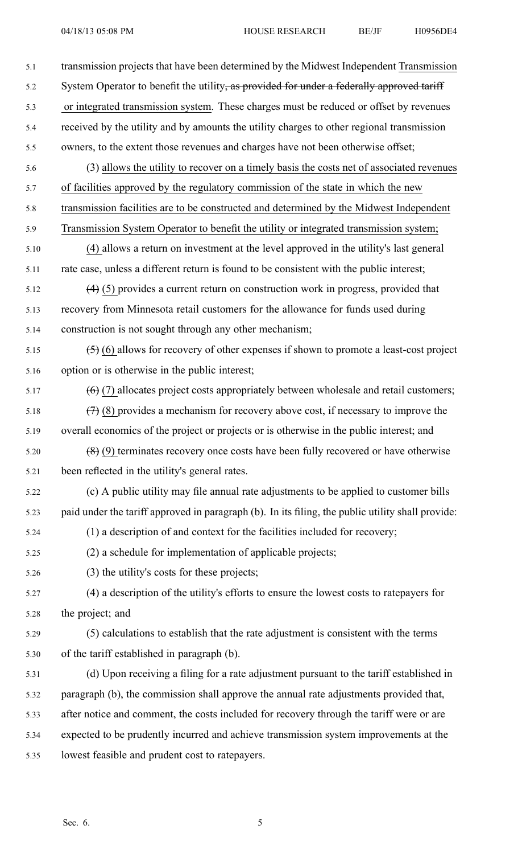| 5.1  | transmission projects that have been determined by the Midwest Independent Transmission           |
|------|---------------------------------------------------------------------------------------------------|
| 5.2  | System Operator to benefit the utility, as provided for under a federally approved tariff         |
| 5.3  | or integrated transmission system. These charges must be reduced or offset by revenues            |
| 5.4  | received by the utility and by amounts the utility charges to other regional transmission         |
| 5.5  | owners, to the extent those revenues and charges have not been otherwise offset;                  |
| 5.6  | (3) allows the utility to recover on a timely basis the costs net of associated revenues          |
| 5.7  | of facilities approved by the regulatory commission of the state in which the new                 |
| 5.8  | transmission facilities are to be constructed and determined by the Midwest Independent           |
| 5.9  | Transmission System Operator to benefit the utility or integrated transmission system;            |
| 5.10 | (4) allows a return on investment at the level approved in the utility's last general             |
| 5.11 | rate case, unless a different return is found to be consistent with the public interest;          |
| 5.12 | $(4)$ (5) provides a current return on construction work in progress, provided that               |
| 5.13 | recovery from Minnesota retail customers for the allowance for funds used during                  |
| 5.14 | construction is not sought through any other mechanism;                                           |
| 5.15 | $(5)$ (6) allows for recovery of other expenses if shown to promote a least-cost project          |
| 5.16 | option or is otherwise in the public interest;                                                    |
| 5.17 | $(6)$ (7) allocates project costs appropriately between wholesale and retail customers;           |
| 5.18 | $(7)$ (8) provides a mechanism for recovery above cost, if necessary to improve the               |
| 5.19 | overall economics of the project or projects or is otherwise in the public interest; and          |
| 5.20 | $(8)$ (9) terminates recovery once costs have been fully recovered or have otherwise              |
| 5.21 | been reflected in the utility's general rates.                                                    |
| 5.22 | (c) A public utility may file annual rate adjustments to be applied to customer bills             |
| 5.23 | paid under the tariff approved in paragraph (b). In its filing, the public utility shall provide: |
| 5.24 | (1) a description of and context for the facilities included for recovery;                        |
| 5.25 | (2) a schedule for implementation of applicable projects;                                         |
| 5.26 | (3) the utility's costs for these projects;                                                       |
| 5.27 | (4) a description of the utility's efforts to ensure the lowest costs to rate payers for          |
| 5.28 | the project; and                                                                                  |
| 5.29 | (5) calculations to establish that the rate adjustment is consistent with the terms               |
| 5.30 | of the tariff established in paragraph (b).                                                       |
| 5.31 | (d) Upon receiving a filing for a rate adjustment pursuant to the tariff established in           |
| 5.32 | paragraph (b), the commission shall approve the annual rate adjustments provided that,            |
| 5.33 | after notice and comment, the costs included for recovery through the tariff were or are          |
| 5.34 | expected to be prudently incurred and achieve transmission system improvements at the             |
| 5.35 | lowest feasible and prudent cost to ratepayers.                                                   |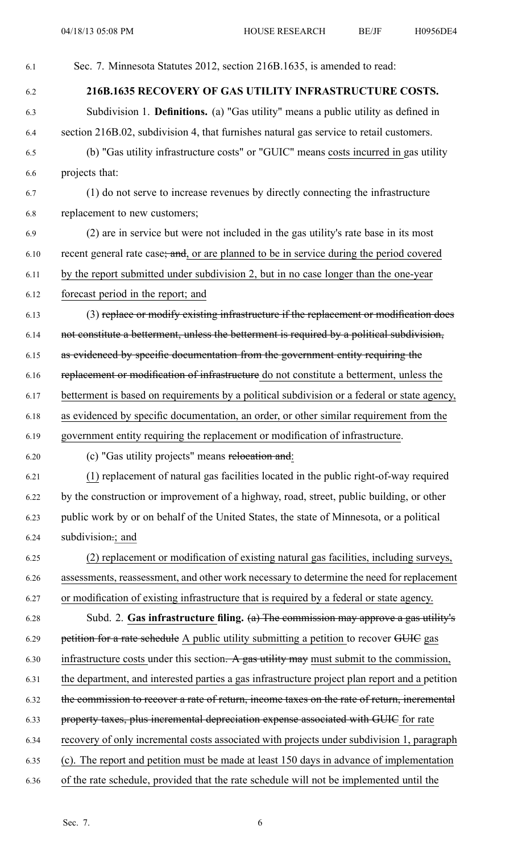| 6.1  | Sec. 7. Minnesota Statutes 2012, section 216B.1635, is amended to read:                        |
|------|------------------------------------------------------------------------------------------------|
| 6.2  | 216B.1635 RECOVERY OF GAS UTILITY INFRASTRUCTURE COSTS.                                        |
| 6.3  | Subdivision 1. <b>Definitions.</b> (a) "Gas utility" means a public utility as defined in      |
| 6.4  | section 216B.02, subdivision 4, that furnishes natural gas service to retail customers.        |
| 6.5  | (b) "Gas utility infrastructure costs" or "GUIC" means costs incurred in gas utility           |
| 6.6  | projects that:                                                                                 |
| 6.7  | (1) do not serve to increase revenues by directly connecting the infrastructure                |
| 6.8  | replacement to new customers;                                                                  |
| 6.9  | (2) are in service but were not included in the gas utility's rate base in its most            |
| 6.10 | recent general rate case; and, or are planned to be in service during the period covered       |
| 6.11 | by the report submitted under subdivision 2, but in no case longer than the one-year           |
| 6.12 | forecast period in the report; and                                                             |
| 6.13 | (3) replace or modify existing infrastructure if the replacement or modification does          |
| 6.14 | not constitute a betterment, unless the betterment is required by a political subdivision,     |
| 6.15 | as evidenced by specific documentation from the government entity requiring the                |
| 6.16 | replacement or modification of infrastructure do not constitute a betterment, unless the       |
| 6.17 | betterment is based on requirements by a political subdivision or a federal or state agency,   |
| 6.18 | as evidenced by specific documentation, an order, or other similar requirement from the        |
| 6.19 | government entity requiring the replacement or modification of infrastructure.                 |
| 6.20 | (c) "Gas utility projects" means relocation and:                                               |
| 6.21 | (1) replacement of natural gas facilities located in the public right-of-way required          |
| 6.22 | by the construction or improvement of a highway, road, street, public building, or other       |
| 6.23 | public work by or on behalf of the United States, the state of Minnesota, or a political       |
| 6.24 | subdivision:; and                                                                              |
| 6.25 | (2) replacement or modification of existing natural gas facilities, including surveys,         |
| 6.26 | assessments, reassessment, and other work necessary to determine the need for replacement      |
| 6.27 | or modification of existing infrastructure that is required by a federal or state agency.      |
| 6.28 | Subd. 2. Gas infrastructure filing. $(a)$ The commission may approve a gas utility's           |
| 6.29 | petition for a rate schedule A public utility submitting a petition to recover GUIC gas        |
| 6.30 | infrastructure costs under this section. A gas utility may must submit to the commission,      |
| 6.31 | the department, and interested parties a gas infrastructure project plan report and a petition |
| 6.32 | the commission to recover a rate of return, income taxes on the rate of return, incremental    |
| 6.33 | property taxes, plus incremental depreciation expense associated with GUIC for rate            |
| 6.34 | recovery of only incremental costs associated with projects under subdivision 1, paragraph     |
| 6.35 | (c). The report and petition must be made at least 150 days in advance of implementation       |
| 6.36 | of the rate schedule, provided that the rate schedule will not be implemented until the        |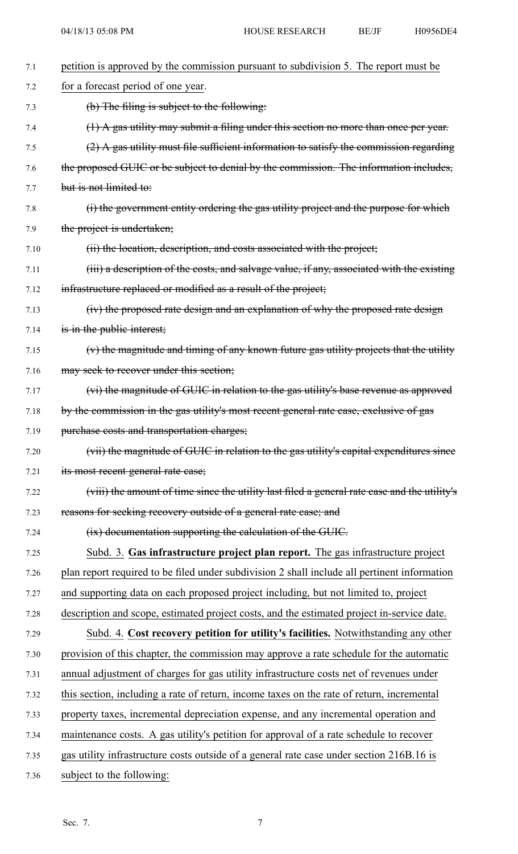| 7.1  | petition is approved by the commission pursuant to subdivision 5. The report must be         |
|------|----------------------------------------------------------------------------------------------|
| 7.2  | for a forecast period of one year.                                                           |
| 7.3  | (b) The filing is subject to the following:                                                  |
| 7.4  | $(1)$ A gas utility may submit a filing under this section no more than once per year.       |
| 7.5  | $(2)$ A gas utility must file sufficient information to satisfy the commission regarding     |
| 7.6  | the proposed GUIC or be subject to denial by the commission. The information includes,       |
| 7.7  | but is not limited to:                                                                       |
| 7.8  | (i) the government entity ordering the gas utility project and the purpose for which         |
| 7.9  | the project is undertaken;                                                                   |
| 7.10 | (ii) the location, description, and costs associated with the project;                       |
| 7.11 | (iii) a description of the costs, and salvage value, if any, associated with the existing    |
| 7.12 | infrastructure replaced or modified as a result of the project;                              |
| 7.13 | (iv) the proposed rate design and an explanation of why the proposed rate design             |
| 7.14 | is in the public interest;                                                                   |
| 7.15 | (v) the magnitude and timing of any known future gas utility projects that the utility       |
| 7.16 | may seek to recover under this section;                                                      |
| 7.17 | (vi) the magnitude of GUIC in relation to the gas utility's base revenue as approved         |
| 7.18 | by the commission in the gas utility's most recent general rate case, exclusive of gas       |
| 7.19 | purchase costs and transportation charges;                                                   |
| 7.20 | (vii) the magnitude of GUIC in relation to the gas utility's capital expenditures since      |
| 7.21 | its most recent general rate case;                                                           |
| 7.22 | (viii) the amount of time since the utility last filed a general rate case and the utility's |
| 7.23 | reasons for seeking recovery outside of a general rate case; and                             |
| 7.24 | (ix) documentation supporting the calculation of the GUIC.                                   |
| 7.25 | Subd. 3. Gas infrastructure project plan report. The gas infrastructure project              |
| 7.26 | plan report required to be filed under subdivision 2 shall include all pertinent information |
| 7.27 | and supporting data on each proposed project including, but not limited to, project          |
| 7.28 | description and scope, estimated project costs, and the estimated project in-service date.   |
| 7.29 | Subd. 4. Cost recovery petition for utility's facilities. Notwithstanding any other          |
| 7.30 | provision of this chapter, the commission may approve a rate schedule for the automatic      |
| 7.31 | annual adjustment of charges for gas utility infrastructure costs net of revenues under      |
| 7.32 | this section, including a rate of return, income taxes on the rate of return, incremental    |
| 7.33 | property taxes, incremental depreciation expense, and any incremental operation and          |
| 7.34 | maintenance costs. A gas utility's petition for approval of a rate schedule to recover       |
| 7.35 | gas utility infrastructure costs outside of a general rate case under section 216B.16 is     |
| 7.36 | subject to the following:                                                                    |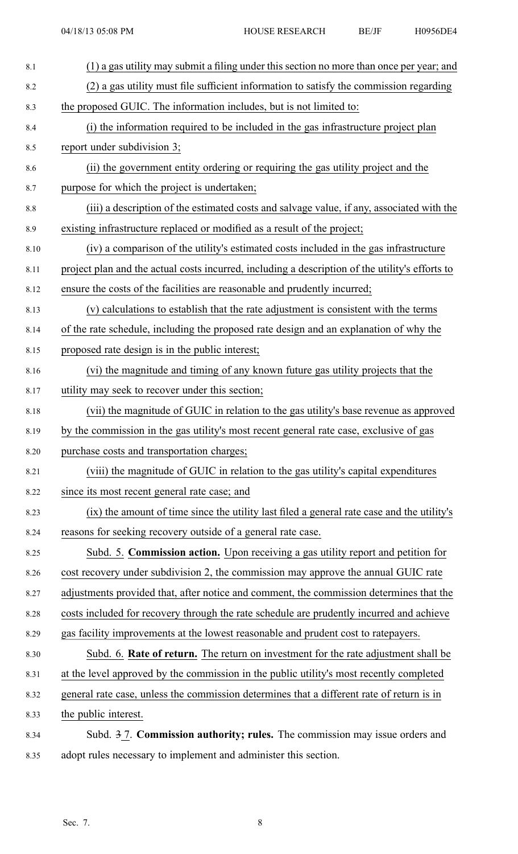| 8.1     | (1) a gas utility may submit a filing under this section no more than once per year; and        |
|---------|-------------------------------------------------------------------------------------------------|
| 8.2     | (2) a gas utility must file sufficient information to satisfy the commission regarding          |
| 8.3     | the proposed GUIC. The information includes, but is not limited to:                             |
| 8.4     | (i) the information required to be included in the gas infrastructure project plan              |
| 8.5     | report under subdivision 3;                                                                     |
| 8.6     | (ii) the government entity ordering or requiring the gas utility project and the                |
| 8.7     | purpose for which the project is undertaken;                                                    |
| $8.8\,$ | (iii) a description of the estimated costs and salvage value, if any, associated with the       |
| 8.9     | existing infrastructure replaced or modified as a result of the project;                        |
| 8.10    | (iv) a comparison of the utility's estimated costs included in the gas infrastructure           |
| 8.11    | project plan and the actual costs incurred, including a description of the utility's efforts to |
| 8.12    | ensure the costs of the facilities are reasonable and prudently incurred;                       |
| 8.13    | (v) calculations to establish that the rate adjustment is consistent with the terms             |
| 8.14    | of the rate schedule, including the proposed rate design and an explanation of why the          |
| 8.15    | proposed rate design is in the public interest;                                                 |
| 8.16    | (vi) the magnitude and timing of any known future gas utility projects that the                 |
| 8.17    | utility may seek to recover under this section;                                                 |
| 8.18    | (vii) the magnitude of GUIC in relation to the gas utility's base revenue as approved           |
| 8.19    | by the commission in the gas utility's most recent general rate case, exclusive of gas          |
| 8.20    | purchase costs and transportation charges;                                                      |
| 8.21    | (viii) the magnitude of GUIC in relation to the gas utility's capital expenditures              |
| 8.22    | since its most recent general rate case; and                                                    |
| 8.23    | (ix) the amount of time since the utility last filed a general rate case and the utility's      |
| 8.24    | reasons for seeking recovery outside of a general rate case.                                    |
| 8.25    | Subd. 5. Commission action. Upon receiving a gas utility report and petition for                |
| 8.26    | cost recovery under subdivision 2, the commission may approve the annual GUIC rate              |
| 8.27    | adjustments provided that, after notice and comment, the commission determines that the         |
| 8.28    | costs included for recovery through the rate schedule are prudently incurred and achieve        |
| 8.29    | gas facility improvements at the lowest reasonable and prudent cost to ratepayers.              |
| 8.30    | Subd. 6. Rate of return. The return on investment for the rate adjustment shall be              |
| 8.31    | at the level approved by the commission in the public utility's most recently completed         |
| 8.32    | general rate case, unless the commission determines that a different rate of return is in       |
| 8.33    | the public interest.                                                                            |
| 8.34    | Subd. 3 7. Commission authority; rules. The commission may issue orders and                     |
| 8.35    | adopt rules necessary to implement and administer this section.                                 |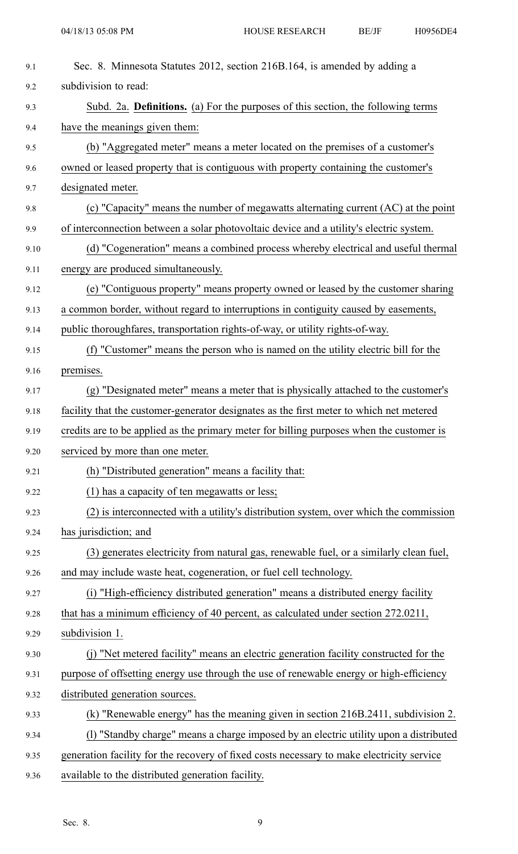| 9.1  | Sec. 8. Minnesota Statutes 2012, section 216B.164, is amended by adding a                 |
|------|-------------------------------------------------------------------------------------------|
| 9.2  | subdivision to read:                                                                      |
| 9.3  | Subd. 2a. Definitions. (a) For the purposes of this section, the following terms          |
| 9.4  | have the meanings given them:                                                             |
| 9.5  | (b) "Aggregated meter" means a meter located on the premises of a customer's              |
| 9.6  | owned or leased property that is contiguous with property containing the customer's       |
| 9.7  | designated meter.                                                                         |
| 9.8  | (c) "Capacity" means the number of megawatts alternating current (AC) at the point        |
| 9.9  | of interconnection between a solar photovoltaic device and a utility's electric system.   |
| 9.10 | (d) "Cogeneration" means a combined process whereby electrical and useful thermal         |
| 9.11 | energy are produced simultaneously.                                                       |
| 9.12 | (e) "Contiguous property" means property owned or leased by the customer sharing          |
| 9.13 | a common border, without regard to interruptions in contiguity caused by easements,       |
| 9.14 | public thoroughfares, transportation rights-of-way, or utility rights-of-way.             |
| 9.15 | (f) "Customer" means the person who is named on the utility electric bill for the         |
| 9.16 | premises.                                                                                 |
| 9.17 | (g) "Designated meter" means a meter that is physically attached to the customer's        |
| 9.18 | facility that the customer-generator designates as the first meter to which net metered   |
| 9.19 | credits are to be applied as the primary meter for billing purposes when the customer is  |
| 9.20 | serviced by more than one meter.                                                          |
| 9.21 | (h) "Distributed generation" means a facility that:                                       |
| 9.22 | (1) has a capacity of ten megawatts or less;                                              |
| 9.23 | (2) is interconnected with a utility's distribution system, over which the commission     |
| 9.24 | has jurisdiction; and                                                                     |
| 9.25 | (3) generates electricity from natural gas, renewable fuel, or a similarly clean fuel,    |
| 9.26 | and may include waste heat, cogeneration, or fuel cell technology.                        |
| 9.27 | (i) "High-efficiency distributed generation" means a distributed energy facility          |
| 9.28 | that has a minimum efficiency of 40 percent, as calculated under section 272.0211,        |
| 9.29 | subdivision 1.                                                                            |
| 9.30 | (j) "Net metered facility" means an electric generation facility constructed for the      |
| 9.31 | purpose of offsetting energy use through the use of renewable energy or high-efficiency   |
| 9.32 | distributed generation sources.                                                           |
| 9.33 | (k) "Renewable energy" has the meaning given in section 216B.2411, subdivision 2.         |
| 9.34 | (1) "Standby charge" means a charge imposed by an electric utility upon a distributed     |
| 9.35 | generation facility for the recovery of fixed costs necessary to make electricity service |
| 9.36 | available to the distributed generation facility.                                         |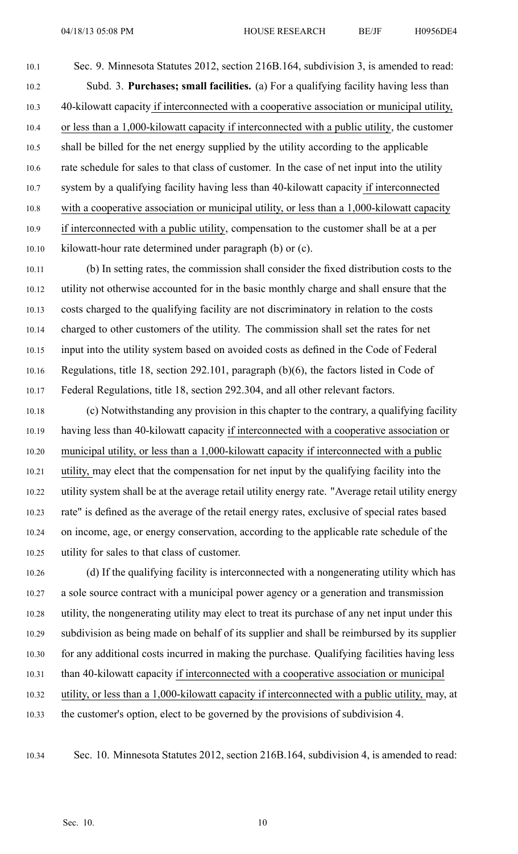10.1 Sec. 9. Minnesota Statutes 2012, section 216B.164, subdivision 3, is amended to read: 10.2 Subd. 3. **Purchases; small facilities.** (a) For <sup>a</sup> qualifying facility having less than 10.3 40-kilowatt capacity if interconnected with <sup>a</sup> cooperative association or municipal utility, 10.4 or less than <sup>a</sup> 1,000-kilowatt capacity if interconnected with <sup>a</sup> public utility, the customer 10.5 shall be billed for the net energy supplied by the utility according to the applicable 10.6 rate schedule for sales to that class of customer. In the case of net input into the utility 10.7 system by <sup>a</sup> qualifying facility having less than 40-kilowatt capacity if interconnected 10.8 with <sup>a</sup> cooperative association or municipal utility, or less than <sup>a</sup> 1,000-kilowatt capacity 10.9 if interconnected with <sup>a</sup> public utility, compensation to the customer shall be at <sup>a</sup> per 10.10 kilowatt-hour rate determined under paragraph (b) or (c).

10.11 (b) In setting rates, the commission shall consider the fixed distribution costs to the 10.12 utility not otherwise accounted for in the basic monthly charge and shall ensure that the 10.13 costs charged to the qualifying facility are not discriminatory in relation to the costs 10.14 charged to other customers of the utility. The commission shall set the rates for net 10.15 input into the utility system based on avoided costs as defined in the Code of Federal 10.16 Regulations, title 18, section 292.101, paragraph (b)(6), the factors listed in Code of 10.17 Federal Regulations, title 18, section 292.304, and all other relevant factors.

10.18 (c) Notwithstanding any provision in this chapter to the contrary, <sup>a</sup> qualifying facility 10.19 having less than 40-kilowatt capacity if interconnected with <sup>a</sup> cooperative association or 10.20 municipal utility, or less than <sup>a</sup> 1,000-kilowatt capacity if interconnected with <sup>a</sup> public 10.21 utility, may elect that the compensation for net input by the qualifying facility into the 10.22 utility system shall be at the average retail utility energy rate. "Average retail utility energy 10.23 rate" is defined as the average of the retail energy rates, exclusive of special rates based 10.24 on income, age, or energy conservation, according to the applicable rate schedule of the 10.25 utility for sales to that class of customer.

10.26 (d) If the qualifying facility is interconnected with <sup>a</sup> nongenerating utility which has 10.27 <sup>a</sup> sole source contract with <sup>a</sup> municipal power agency or <sup>a</sup> generation and transmission 10.28 utility, the nongenerating utility may elect to treat its purchase of any net input under this 10.29 subdivision as being made on behalf of its supplier and shall be reimbursed by its supplier 10.30 for any additional costs incurred in making the purchase. Qualifying facilities having less 10.31 than 40-kilowatt capacity if interconnected with <sup>a</sup> cooperative association or municipal 10.32 utility, or less than <sup>a</sup> 1,000-kilowatt capacity if interconnected with <sup>a</sup> public utility, may, at 10.33 the customer's option, elect to be governed by the provisions of subdivision 4.

10.34 Sec. 10. Minnesota Statutes 2012, section 216B.164, subdivision 4, is amended to read: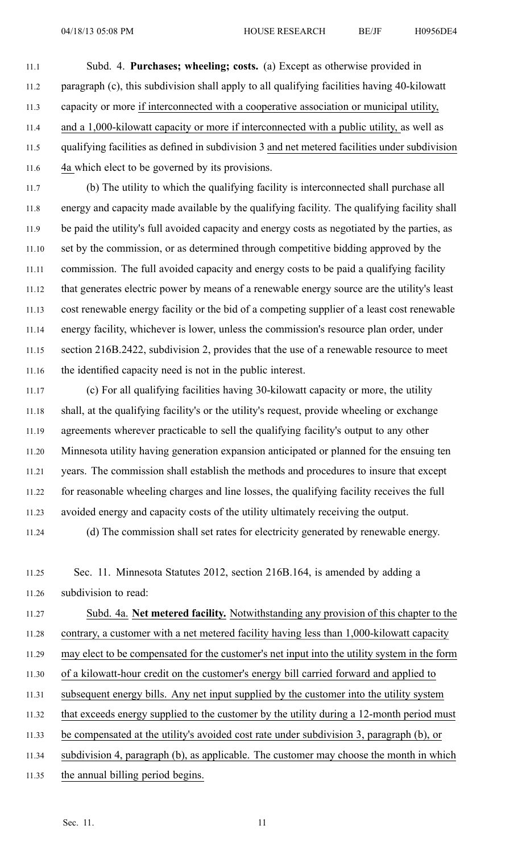11.1 Subd. 4. **Purchases; wheeling; costs.** (a) Except as otherwise provided in 11.2 paragraph (c), this subdivision shall apply to all qualifying facilities having 40-kilowatt 11.3 capacity or more if interconnected with <sup>a</sup> cooperative association or municipal utility, 11.4 and <sup>a</sup> 1,000-kilowatt capacity or more if interconnected with <sup>a</sup> public utility, as well as 11.5 qualifying facilities as defined in subdivision 3 and net metered facilities under subdivision 11.6 4a which elect to be governed by its provisions.

11.7 (b) The utility to which the qualifying facility is interconnected shall purchase all 11.8 energy and capacity made available by the qualifying facility. The qualifying facility shall 11.9 be paid the utility's full avoided capacity and energy costs as negotiated by the parties, as 11.10 set by the commission, or as determined through competitive bidding approved by the 11.11 commission. The full avoided capacity and energy costs to be paid <sup>a</sup> qualifying facility 11.12 that generates electric power by means of <sup>a</sup> renewable energy source are the utility's least 11.13 cost renewable energy facility or the bid of <sup>a</sup> competing supplier of <sup>a</sup> least cost renewable 11.14 energy facility, whichever is lower, unless the commission's resource plan order, under 11.15 section 216B.2422, subdivision 2, provides that the use of <sup>a</sup> renewable resource to meet 11.16 the identified capacity need is not in the public interest.

11.17 (c) For all qualifying facilities having 30-kilowatt capacity or more, the utility 11.18 shall, at the qualifying facility's or the utility's request, provide wheeling or exchange 11.19 agreements wherever practicable to sell the qualifying facility's output to any other 11.20 Minnesota utility having generation expansion anticipated or planned for the ensuing ten 11.21 years. The commission shall establish the methods and procedures to insure that excep<sup>t</sup> 11.22 for reasonable wheeling charges and line losses, the qualifying facility receives the full 11.23 avoided energy and capacity costs of the utility ultimately receiving the output. 11.24 (d) The commission shall set rates for electricity generated by renewable energy.

11.25 Sec. 11. Minnesota Statutes 2012, section 216B.164, is amended by adding <sup>a</sup> 11.26 subdivision to read:

11.27 Subd. 4a. **Net metered facility.** Notwithstanding any provision of this chapter to the 11.28 contrary, <sup>a</sup> customer with <sup>a</sup> net metered facility having less than 1,000-kilowatt capacity 11.29 may elect to be compensated for the customer's net input into the utility system in the form 11.30 of <sup>a</sup> kilowatt-hour credit on the customer's energy bill carried forward and applied to

11.31 subsequent energy bills. Any net input supplied by the customer into the utility system

11.32 that exceeds energy supplied to the customer by the utility during <sup>a</sup> 12-month period must

11.33 be compensated at the utility's avoided cost rate under subdivision 3, paragraph (b), or

- 11.34 subdivision 4, paragraph (b), as applicable. The customer may choose the month in which
- 11.35 the annual billing period begins.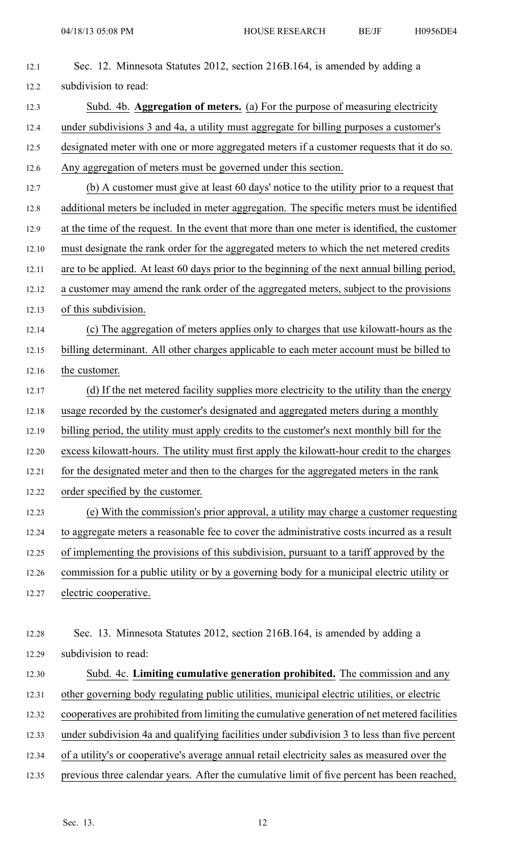| 12.1  | Sec. 12. Minnesota Statutes 2012, section 216B.164, is amended by adding a                    |
|-------|-----------------------------------------------------------------------------------------------|
| 12.2  | subdivision to read:                                                                          |
| 12.3  | Subd. 4b. Aggregation of meters. (a) For the purpose of measuring electricity                 |
| 12.4  | under subdivisions 3 and 4a, a utility must aggregate for billing purposes a customer's       |
| 12.5  | designated meter with one or more aggregated meters if a customer requests that it do so.     |
| 12.6  | Any aggregation of meters must be governed under this section.                                |
| 12.7  | (b) A customer must give at least 60 days' notice to the utility prior to a request that      |
| 12.8  | additional meters be included in meter aggregation. The specific meters must be identified    |
| 12.9  | at the time of the request. In the event that more than one meter is identified, the customer |
| 12.10 | must designate the rank order for the aggregated meters to which the net metered credits      |
| 12.11 | are to be applied. At least 60 days prior to the beginning of the next annual billing period, |
| 12.12 | a customer may amend the rank order of the aggregated meters, subject to the provisions       |
| 12.13 | of this subdivision.                                                                          |
| 12.14 | (c) The aggregation of meters applies only to charges that use kilowatt-hours as the          |
| 12.15 | billing determinant. All other charges applicable to each meter account must be billed to     |
| 12.16 | the customer.                                                                                 |
| 12.17 | (d) If the net metered facility supplies more electricity to the utility than the energy      |
| 12.18 | usage recorded by the customer's designated and aggregated meters during a monthly            |
| 12.19 | billing period, the utility must apply credits to the customer's next monthly bill for the    |
| 12.20 | excess kilowatt-hours. The utility must first apply the kilowatt-hour credit to the charges   |
| 12.21 | for the designated meter and then to the charges for the aggregated meters in the rank        |
| 12.22 | order specified by the customer.                                                              |
| 12.23 | (e) With the commission's prior approval, a utility may charge a customer requesting          |
| 12.24 | to aggregate meters a reasonable fee to cover the administrative costs incurred as a result   |
| 12.25 | of implementing the provisions of this subdivision, pursuant to a tariff approved by the      |
| 12.26 | commission for a public utility or by a governing body for a municipal electric utility or    |
| 12.27 | electric cooperative.                                                                         |
|       |                                                                                               |
| 12.28 | Sec. 13. Minnesota Statutes 2012, section 216B.164, is amended by adding a                    |
| 12.29 | subdivision to read:                                                                          |
| 12.30 | Subd. 4c. Limiting cumulative generation prohibited. The commission and any                   |
| 12.31 | other governing body regulating public utilities, municipal electric utilities, or electric   |
| 12.32 | cooperatives are prohibited from limiting the cumulative generation of net metered facilities |
| 12.33 | under subdivision 4a and qualifying facilities under subdivision 3 to less than five percent  |
| 12.34 | of a utility's or cooperative's average annual retail electricity sales as measured over the  |
| 12.35 | previous three calendar years. After the cumulative limit of five percent has been reached,   |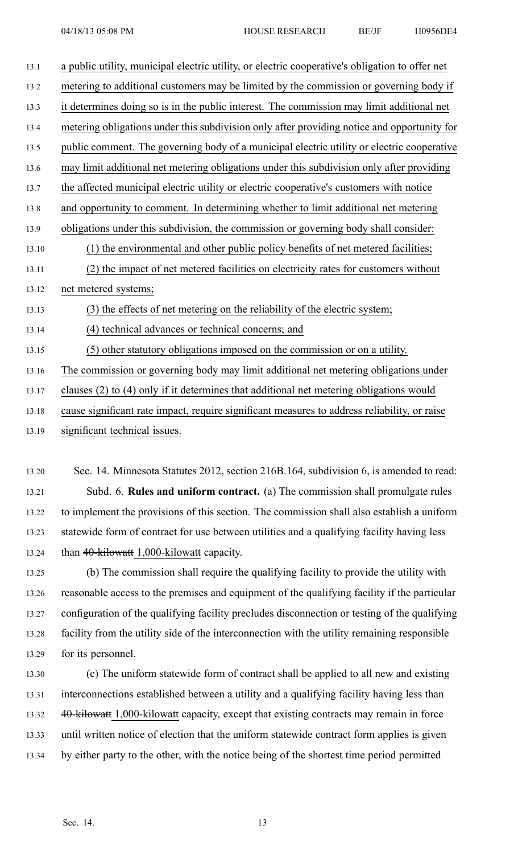| 13.1  | a public utility, municipal electric utility, or electric cooperative's obligation to offer net |
|-------|-------------------------------------------------------------------------------------------------|
| 13.2  | metering to additional customers may be limited by the commission or governing body if          |
| 13.3  | it determines doing so is in the public interest. The commission may limit additional net       |
| 13.4  | metering obligations under this subdivision only after providing notice and opportunity for     |
| 13.5  | public comment. The governing body of a municipal electric utility or electric cooperative      |
| 13.6  | may limit additional net metering obligations under this subdivision only after providing       |
| 13.7  | the affected municipal electric utility or electric cooperative's customers with notice         |
| 13.8  | and opportunity to comment. In determining whether to limit additional net metering             |
| 13.9  | obligations under this subdivision, the commission or governing body shall consider:            |
| 13.10 | (1) the environmental and other public policy benefits of net metered facilities;               |
| 13.11 | (2) the impact of net metered facilities on electricity rates for customers without             |
| 13.12 | net metered systems;                                                                            |
| 13.13 | (3) the effects of net metering on the reliability of the electric system;                      |
| 13.14 | (4) technical advances or technical concerns; and                                               |
| 13.15 | (5) other statutory obligations imposed on the commission or on a utility.                      |
| 13.16 | The commission or governing body may limit additional net metering obligations under            |
| 13.17 | clauses (2) to (4) only if it determines that additional net metering obligations would         |
| 13.18 | cause significant rate impact, require significant measures to address reliability, or raise    |
| 13.19 | significant technical issues.                                                                   |

13.20 Sec. 14. Minnesota Statutes 2012, section 216B.164, subdivision 6, is amended to read: 13.21 Subd. 6. **Rules and uniform contract.** (a) The commission shall promulgate rules 13.22 to implement the provisions of this section. The commission shall also establish <sup>a</sup> uniform 13.23 statewide form of contract for use between utilities and <sup>a</sup> qualifying facility having less 13.24 than 40-kilowatt 1,000-kilowatt capacity.

13.25 (b) The commission shall require the qualifying facility to provide the utility with 13.26 reasonable access to the premises and equipment of the qualifying facility if the particular 13.27 configuration of the qualifying facility precludes disconnection or testing of the qualifying 13.28 facility from the utility side of the interconnection with the utility remaining responsible 13.29 for its personnel.

13.30 (c) The uniform statewide form of contract shall be applied to all new and existing 13.31 interconnections established between <sup>a</sup> utility and <sup>a</sup> qualifying facility having less than 13.32 40-kilowatt 1,000-kilowatt capacity, except that existing contracts may remain in force 13.33 until written notice of election that the uniform statewide contract form applies is given 13.34 by either party to the other, with the notice being of the shortest time period permitted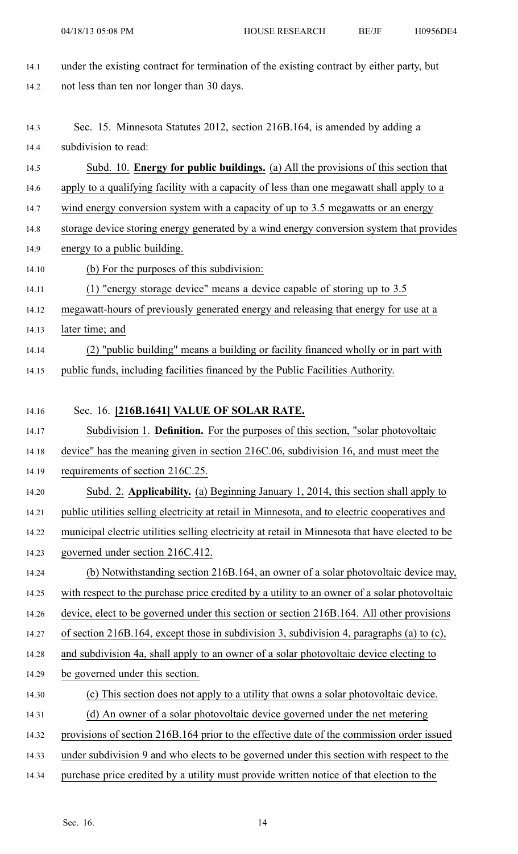- 14.1 under the existing contract for termination of the existing contract by either party, but 14.2 not less than ten nor longer than 30 days. 14.3 Sec. 15. Minnesota Statutes 2012, section 216B.164, is amended by adding <sup>a</sup> 14.4 subdivision to read: 14.5 Subd. 10. **Energy for public buildings.** (a) All the provisions of this section that 14.6 apply to <sup>a</sup> qualifying facility with <sup>a</sup> capacity of less than one megawatt shall apply to <sup>a</sup> 14.7 wind energy conversion system with a capacity of up to 3.5 megawatts or an energy 14.8 storage device storing energy generated by <sup>a</sup> wind energy conversion system that provides 14.9 energy to <sup>a</sup> public building. 14.10 (b) For the purposes of this subdivision: 14.11 (1) "energy storage device" means <sup>a</sup> device capable of storing up to 3.5 14.12 megawatt-hours of previously generated energy and releasing that energy for use at <sup>a</sup> 14.13 later time; and 14.14 (2) "public building" means <sup>a</sup> building or facility financed wholly or in par<sup>t</sup> with 14.15 public funds, including facilities financed by the Public Facilities Authority. 14.16 Sec. 16. **[216B.1641] VALUE OF SOLAR RATE.** 14.17 Subdivision 1. **Definition.** For the purposes of this section, "solar photovoltaic 14.18 device" has the meaning given in section 216C.06, subdivision 16, and must meet the 14.19 requirements of section 216C.25. 14.20 Subd. 2. **Applicability.** (a) Beginning January 1, 2014, this section shall apply to 14.21 public utilities selling electricity at retail in Minnesota, and to electric cooperatives and 14.22 municipal electric utilities selling electricity at retail in Minnesota that have elected to be 14.23 governed under section 216C.412. 14.24 (b) Notwithstanding section 216B.164, an owner of <sup>a</sup> solar photovoltaic device may, 14.25 with respec<sup>t</sup> to the purchase price credited by <sup>a</sup> utility to an owner of <sup>a</sup> solar photovoltaic 14.26 device, elect to be governed under this section or section 216B.164. All other provisions 14.27 of section 216B.164, excep<sup>t</sup> those in subdivision 3, subdivision 4, paragraphs (a) to (c), 14.28 and subdivision 4a, shall apply to an owner of <sup>a</sup> solar photovoltaic device electing to 14.29 be governed under this section. 14.30 (c) This section does not apply to <sup>a</sup> utility that owns <sup>a</sup> solar photovoltaic device. 14.31 (d) An owner of <sup>a</sup> solar photovoltaic device governed under the net metering 14.32 provisions of section 216B.164 prior to the effective date of the commission order issued 14.33 under subdivision 9 and who elects to be governed under this section with respec<sup>t</sup> to the
- 14.34 purchase price credited by <sup>a</sup> utility must provide written notice of that election to the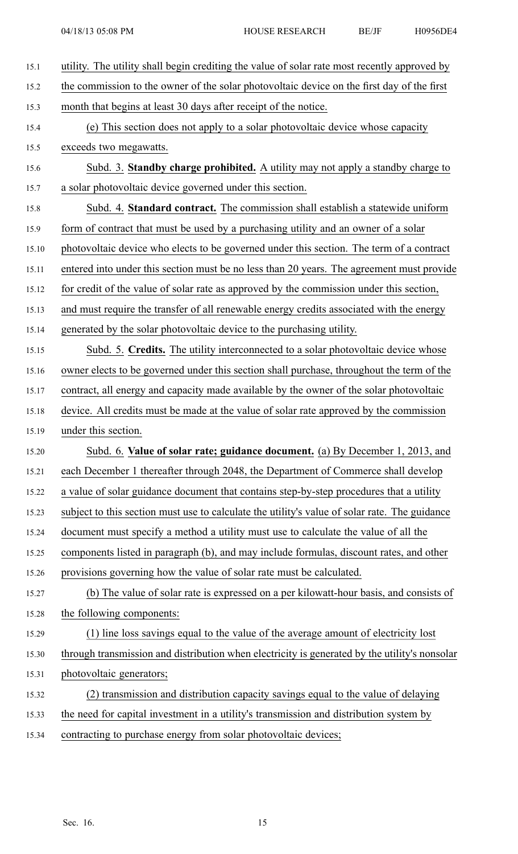| 15.1  | utility. The utility shall begin crediting the value of solar rate most recently approved by  |
|-------|-----------------------------------------------------------------------------------------------|
| 15.2  | the commission to the owner of the solar photovoltaic device on the first day of the first    |
| 15.3  | month that begins at least 30 days after receipt of the notice.                               |
| 15.4  | (e) This section does not apply to a solar photovoltaic device whose capacity                 |
| 15.5  | exceeds two megawatts.                                                                        |
| 15.6  | Subd. 3. Standby charge prohibited. A utility may not apply a standby charge to               |
| 15.7  | a solar photovoltaic device governed under this section.                                      |
| 15.8  | Subd. 4. Standard contract. The commission shall establish a statewide uniform                |
| 15.9  | form of contract that must be used by a purchasing utility and an owner of a solar            |
| 15.10 | photovoltaic device who elects to be governed under this section. The term of a contract      |
| 15.11 | entered into under this section must be no less than 20 years. The agreement must provide     |
| 15.12 | for credit of the value of solar rate as approved by the commission under this section,       |
| 15.13 | and must require the transfer of all renewable energy credits associated with the energy      |
| 15.14 | generated by the solar photovoltaic device to the purchasing utility.                         |
| 15.15 | Subd. 5. Credits. The utility interconnected to a solar photovoltaic device whose             |
| 15.16 | owner elects to be governed under this section shall purchase, throughout the term of the     |
| 15.17 | contract, all energy and capacity made available by the owner of the solar photovoltaic       |
| 15.18 | device. All credits must be made at the value of solar rate approved by the commission        |
| 15.19 | under this section.                                                                           |
| 15.20 | Subd. 6. Value of solar rate; guidance document. (a) By December 1, 2013, and                 |
| 15.21 | each December 1 thereafter through 2048, the Department of Commerce shall develop             |
| 15.22 | a value of solar guidance document that contains step-by-step procedures that a utility       |
| 15.23 | subject to this section must use to calculate the utility's value of solar rate. The guidance |
| 15.24 | document must specify a method a utility must use to calculate the value of all the           |
| 15.25 | components listed in paragraph (b), and may include formulas, discount rates, and other       |
| 15.26 | provisions governing how the value of solar rate must be calculated.                          |
| 15.27 | (b) The value of solar rate is expressed on a per kilowatt-hour basis, and consists of        |
| 15.28 | the following components:                                                                     |
| 15.29 | (1) line loss savings equal to the value of the average amount of electricity lost            |
| 15.30 | through transmission and distribution when electricity is generated by the utility's nonsolar |
| 15.31 | photovoltaic generators;                                                                      |
| 15.32 | (2) transmission and distribution capacity savings equal to the value of delaying             |
| 15.33 | the need for capital investment in a utility's transmission and distribution system by        |
| 15.34 | contracting to purchase energy from solar photovoltaic devices;                               |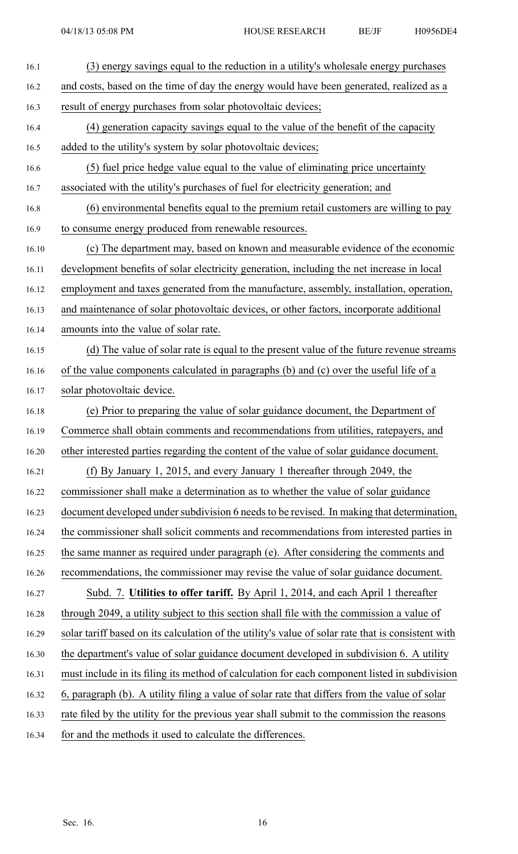| 16.1  | (3) energy savings equal to the reduction in a utility's wholesale energy purchases                |
|-------|----------------------------------------------------------------------------------------------------|
| 16.2  | and costs, based on the time of day the energy would have been generated, realized as a            |
| 16.3  | result of energy purchases from solar photovoltaic devices;                                        |
| 16.4  | (4) generation capacity savings equal to the value of the benefit of the capacity                  |
| 16.5  | added to the utility's system by solar photovoltaic devices;                                       |
| 16.6  | (5) fuel price hedge value equal to the value of eliminating price uncertainty                     |
| 16.7  | associated with the utility's purchases of fuel for electricity generation; and                    |
| 16.8  | (6) environmental benefits equal to the premium retail customers are willing to pay                |
| 16.9  | to consume energy produced from renewable resources.                                               |
| 16.10 | (c) The department may, based on known and measurable evidence of the economic                     |
| 16.11 | development benefits of solar electricity generation, including the net increase in local          |
| 16.12 | employment and taxes generated from the manufacture, assembly, installation, operation,            |
| 16.13 | and maintenance of solar photovoltaic devices, or other factors, incorporate additional            |
| 16.14 | amounts into the value of solar rate.                                                              |
| 16.15 | (d) The value of solar rate is equal to the present value of the future revenue streams            |
| 16.16 | of the value components calculated in paragraphs (b) and (c) over the useful life of a             |
| 16.17 | solar photovoltaic device.                                                                         |
| 16.18 | (e) Prior to preparing the value of solar guidance document, the Department of                     |
| 16.19 | Commerce shall obtain comments and recommendations from utilities, ratepayers, and                 |
| 16.20 | other interested parties regarding the content of the value of solar guidance document.            |
| 16.21 | (f) By January 1, 2015, and every January 1 thereafter through 2049, the                           |
| 16.22 | commissioner shall make a determination as to whether the value of solar guidance                  |
| 16.23 | document developed under subdivision 6 needs to be revised. In making that determination,          |
| 16.24 | the commissioner shall solicit comments and recommendations from interested parties in             |
| 16.25 | the same manner as required under paragraph (e). After considering the comments and                |
| 16.26 | recommendations, the commissioner may revise the value of solar guidance document.                 |
| 16.27 | Subd. 7. Utilities to offer tariff. By April 1, 2014, and each April 1 thereafter                  |
| 16.28 | through 2049, a utility subject to this section shall file with the commission a value of          |
| 16.29 | solar tariff based on its calculation of the utility's value of solar rate that is consistent with |
| 16.30 | the department's value of solar guidance document developed in subdivision 6. A utility            |
| 16.31 | must include in its filing its method of calculation for each component listed in subdivision      |
| 16.32 | 6, paragraph (b). A utility filing a value of solar rate that differs from the value of solar      |
| 16.33 | rate filed by the utility for the previous year shall submit to the commission the reasons         |
|       |                                                                                                    |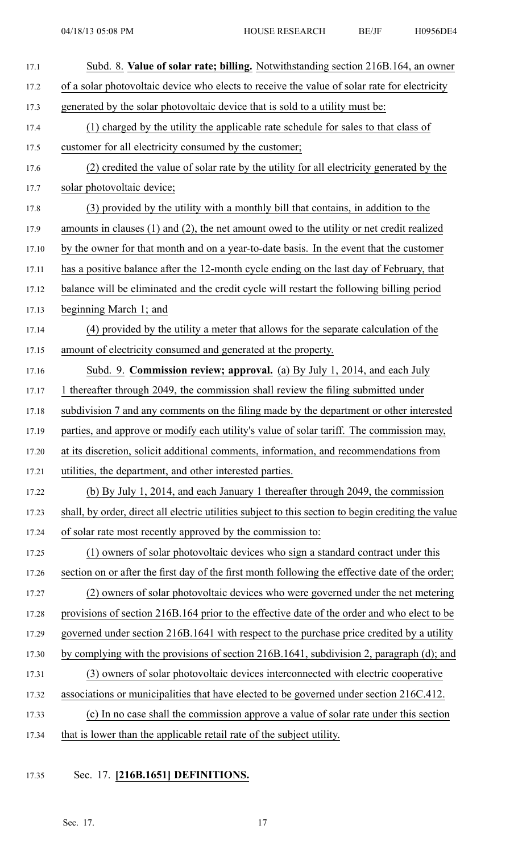| 17.1  | Subd. 8. Value of solar rate; billing. Notwithstanding section 216B.164, an owner                   |
|-------|-----------------------------------------------------------------------------------------------------|
| 17.2  | of a solar photovoltaic device who elects to receive the value of solar rate for electricity        |
| 17.3  | generated by the solar photovoltaic device that is sold to a utility must be:                       |
| 17.4  | (1) charged by the utility the applicable rate schedule for sales to that class of                  |
| 17.5  | customer for all electricity consumed by the customer;                                              |
| 17.6  | (2) credited the value of solar rate by the utility for all electricity generated by the            |
| 17.7  | solar photovoltaic device;                                                                          |
| 17.8  | (3) provided by the utility with a monthly bill that contains, in addition to the                   |
| 17.9  | amounts in clauses $(1)$ and $(2)$ , the net amount owed to the utility or net credit realized      |
| 17.10 | by the owner for that month and on a year-to-date basis. In the event that the customer             |
| 17.11 | has a positive balance after the 12-month cycle ending on the last day of February, that            |
| 17.12 | balance will be eliminated and the credit cycle will restart the following billing period           |
| 17.13 | beginning March 1; and                                                                              |
| 17.14 | (4) provided by the utility a meter that allows for the separate calculation of the                 |
| 17.15 | amount of electricity consumed and generated at the property.                                       |
| 17.16 | Subd. 9. Commission review; approval. (a) By July 1, 2014, and each July                            |
| 17.17 | 1 thereafter through 2049, the commission shall review the filing submitted under                   |
| 17.18 | subdivision 7 and any comments on the filing made by the department or other interested             |
| 17.19 | parties, and approve or modify each utility's value of solar tariff. The commission may,            |
| 17.20 | at its discretion, solicit additional comments, information, and recommendations from               |
| 17.21 | utilities, the department, and other interested parties.                                            |
| 17.22 | (b) By July 1, 2014, and each January 1 thereafter through 2049, the commission                     |
| 17.23 | shall, by order, direct all electric utilities subject to this section to begin crediting the value |
| 17.24 | of solar rate most recently approved by the commission to:                                          |
| 17.25 | (1) owners of solar photovoltaic devices who sign a standard contract under this                    |
| 17.26 | section on or after the first day of the first month following the effective date of the order;     |
| 17.27 | (2) owners of solar photovoltaic devices who were governed under the net metering                   |
| 17.28 | provisions of section 216B.164 prior to the effective date of the order and who elect to be         |
| 17.29 | governed under section 216B.1641 with respect to the purchase price credited by a utility           |
| 17.30 | by complying with the provisions of section 216B.1641, subdivision 2, paragraph (d); and            |
| 17.31 | (3) owners of solar photovoltaic devices interconnected with electric cooperative                   |
| 17.32 | associations or municipalities that have elected to be governed under section 216C.412.             |
| 17.33 | (c) In no case shall the commission approve a value of solar rate under this section                |
| 17.34 | that is lower than the applicable retail rate of the subject utility.                               |

17.35 Sec. 17. **[216B.1651] DEFINITIONS.**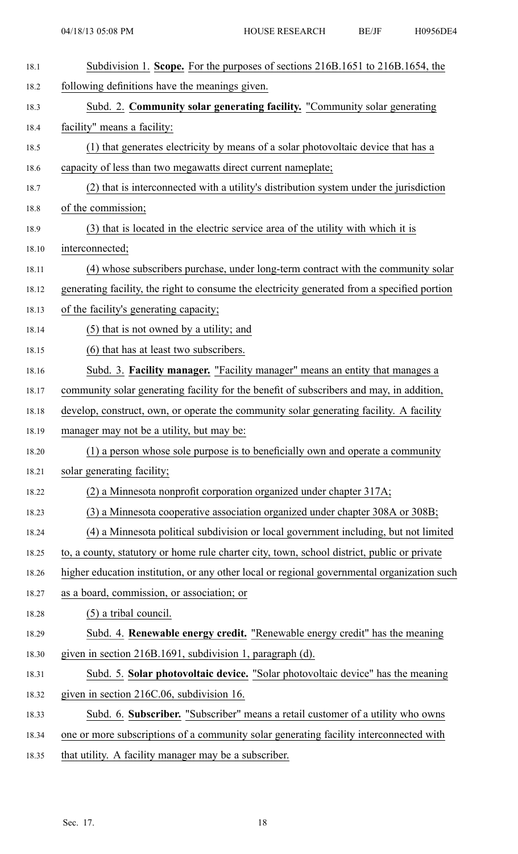| 18.1  | Subdivision 1. Scope. For the purposes of sections 216B.1651 to 216B.1654, the               |
|-------|----------------------------------------------------------------------------------------------|
| 18.2  | following definitions have the meanings given.                                               |
| 18.3  | Subd. 2. Community solar generating facility. "Community solar generating                    |
| 18.4  | facility" means a facility:                                                                  |
| 18.5  | (1) that generates electricity by means of a solar photovoltaic device that has a            |
| 18.6  | capacity of less than two megawatts direct current nameplate;                                |
| 18.7  | (2) that is interconnected with a utility's distribution system under the jurisdiction       |
| 18.8  | of the commission;                                                                           |
| 18.9  | (3) that is located in the electric service area of the utility with which it is             |
| 18.10 | interconnected;                                                                              |
| 18.11 | (4) whose subscribers purchase, under long-term contract with the community solar            |
| 18.12 | generating facility, the right to consume the electricity generated from a specified portion |
| 18.13 | of the facility's generating capacity;                                                       |
| 18.14 | (5) that is not owned by a utility; and                                                      |
| 18.15 | (6) that has at least two subscribers.                                                       |
| 18.16 | Subd. 3. Facility manager. "Facility manager" means an entity that manages a                 |
| 18.17 | community solar generating facility for the benefit of subscribers and may, in addition,     |
| 18.18 | develop, construct, own, or operate the community solar generating facility. A facility      |
| 18.19 | manager may not be a utility, but may be:                                                    |
| 18.20 | (1) a person whose sole purpose is to beneficially own and operate a community               |
| 18.21 | solar generating facility;                                                                   |
| 18.22 | (2) a Minnesota nonprofit corporation organized under chapter 317A;                          |
| 18.23 | (3) a Minnesota cooperative association organized under chapter 308A or 308B;                |
| 18.24 | (4) a Minnesota political subdivision or local government including, but not limited         |
| 18.25 | to, a county, statutory or home rule charter city, town, school district, public or private  |
| 18.26 | higher education institution, or any other local or regional governmental organization such  |
| 18.27 | as a board, commission, or association; or                                                   |
| 18.28 | $(5)$ a tribal council.                                                                      |
| 18.29 | Subd. 4. Renewable energy credit. "Renewable energy credit" has the meaning                  |
| 18.30 | given in section 216B.1691, subdivision 1, paragraph (d).                                    |
| 18.31 | Subd. 5. Solar photovoltaic device. "Solar photovoltaic device" has the meaning              |
| 18.32 | given in section 216C.06, subdivision 16.                                                    |
| 18.33 | Subd. 6. Subscriber. "Subscriber" means a retail customer of a utility who owns              |
| 18.34 | one or more subscriptions of a community solar generating facility interconnected with       |
| 18.35 | that utility. A facility manager may be a subscriber.                                        |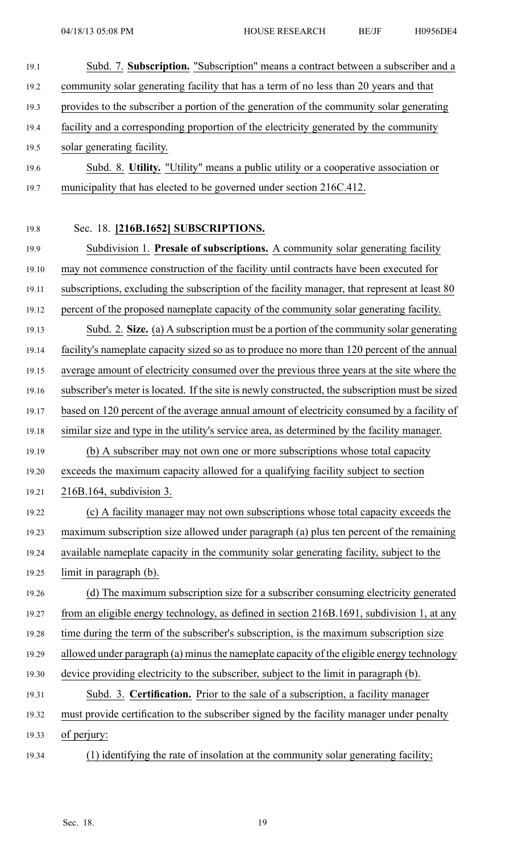| 19.1  | Subd. 7. Subscription. "Subscription" means a contract between a subscriber and a               |
|-------|-------------------------------------------------------------------------------------------------|
| 19.2  | community solar generating facility that has a term of no less than 20 years and that           |
| 19.3  | provides to the subscriber a portion of the generation of the community solar generating        |
| 19.4  | facility and a corresponding proportion of the electricity generated by the community           |
| 19.5  | solar generating facility.                                                                      |
| 19.6  | Subd. 8. Utility. "Utility" means a public utility or a cooperative association or              |
| 19.7  | municipality that has elected to be governed under section 216C.412.                            |
|       |                                                                                                 |
| 19.8  | Sec. 18. [216B.1652] SUBSCRIPTIONS.                                                             |
| 19.9  | Subdivision 1. Presale of subscriptions. A community solar generating facility                  |
| 19.10 | may not commence construction of the facility until contracts have been executed for            |
| 19.11 | subscriptions, excluding the subscription of the facility manager, that represent at least 80   |
| 19.12 | percent of the proposed nameplate capacity of the community solar generating facility.          |
| 19.13 | Subd. 2. Size. (a) A subscription must be a portion of the community solar generating           |
| 19.14 | facility's nameplate capacity sized so as to produce no more than 120 percent of the annual     |
| 19.15 | average amount of electricity consumed over the previous three years at the site where the      |
| 19.16 | subscriber's meter is located. If the site is newly constructed, the subscription must be sized |
| 19.17 | based on 120 percent of the average annual amount of electricity consumed by a facility of      |
| 19.18 | similar size and type in the utility's service area, as determined by the facility manager.     |
| 19.19 | (b) A subscriber may not own one or more subscriptions whose total capacity                     |
| 19.20 | exceeds the maximum capacity allowed for a qualifying facility subject to section               |
| 19.21 | $216B.164$ , subdivision 3.                                                                     |
| 19.22 | (c) A facility manager may not own subscriptions whose total capacity exceeds the               |
| 19.23 | maximum subscription size allowed under paragraph (a) plus ten percent of the remaining         |
| 19.24 | available nameplate capacity in the community solar generating facility, subject to the         |
| 19.25 | limit in paragraph (b).                                                                         |
| 19.26 | (d) The maximum subscription size for a subscriber consuming electricity generated              |
| 19.27 | from an eligible energy technology, as defined in section 216B.1691, subdivision 1, at any      |
| 19.28 | time during the term of the subscriber's subscription, is the maximum subscription size         |
| 19.29 | allowed under paragraph (a) minus the nameplate capacity of the eligible energy technology      |
| 19.30 | device providing electricity to the subscriber, subject to the limit in paragraph (b).          |
| 19.31 | Subd. 3. Certification. Prior to the sale of a subscription, a facility manager                 |
| 19.32 | must provide certification to the subscriber signed by the facility manager under penalty       |
| 19.33 | of perjury:                                                                                     |
| 19.34 | (1) identifying the rate of insolation at the community solar generating facility;              |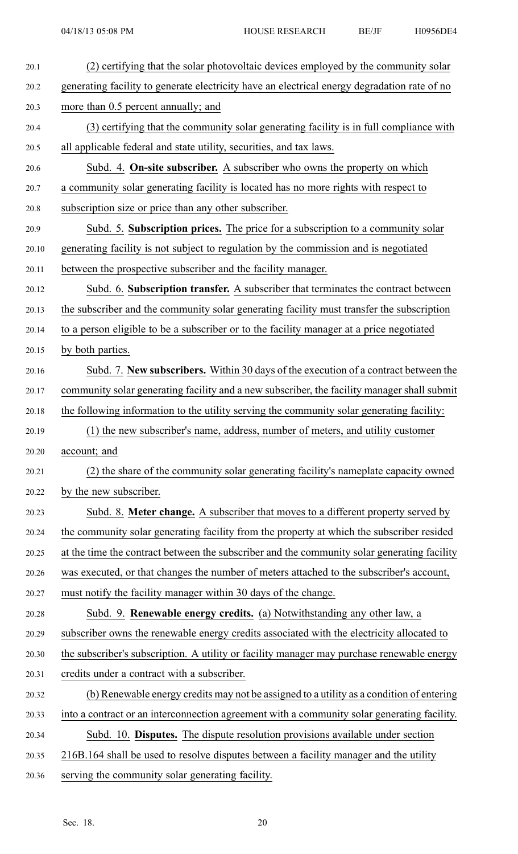| 20.1  | (2) certifying that the solar photovoltaic devices employed by the community solar           |
|-------|----------------------------------------------------------------------------------------------|
| 20.2  | generating facility to generate electricity have an electrical energy degradation rate of no |
| 20.3  | more than 0.5 percent annually; and                                                          |
| 20.4  | (3) certifying that the community solar generating facility is in full compliance with       |
| 20.5  | all applicable federal and state utility, securities, and tax laws.                          |
| 20.6  | Subd. 4. On-site subscriber. A subscriber who owns the property on which                     |
| 20.7  | a community solar generating facility is located has no more rights with respect to          |
| 20.8  | subscription size or price than any other subscriber.                                        |
| 20.9  | Subd. 5. Subscription prices. The price for a subscription to a community solar              |
| 20.10 | generating facility is not subject to regulation by the commission and is negotiated         |
| 20.11 | between the prospective subscriber and the facility manager.                                 |
| 20.12 | Subd. 6. Subscription transfer. A subscriber that terminates the contract between            |
| 20.13 | the subscriber and the community solar generating facility must transfer the subscription    |
| 20.14 | to a person eligible to be a subscriber or to the facility manager at a price negotiated     |
| 20.15 | by both parties.                                                                             |
| 20.16 | Subd. 7. New subscribers. Within 30 days of the execution of a contract between the          |
| 20.17 | community solar generating facility and a new subscriber, the facility manager shall submit  |
| 20.18 | the following information to the utility serving the community solar generating facility:    |
| 20.19 | (1) the new subscriber's name, address, number of meters, and utility customer               |
| 20.20 | account; and                                                                                 |
| 20.21 | (2) the share of the community solar generating facility's nameplate capacity owned          |
| 20.22 | by the new subscriber.                                                                       |
| 20.23 | Subd. 8. Meter change. A subscriber that moves to a different property served by             |
| 20.24 | the community solar generating facility from the property at which the subscriber resided    |
| 20.25 | at the time the contract between the subscriber and the community solar generating facility  |
| 20.26 | was executed, or that changes the number of meters attached to the subscriber's account,     |
| 20.27 | must notify the facility manager within 30 days of the change.                               |
| 20.28 | Subd. 9. Renewable energy credits. (a) Notwithstanding any other law, a                      |
| 20.29 | subscriber owns the renewable energy credits associated with the electricity allocated to    |
| 20.30 | the subscriber's subscription. A utility or facility manager may purchase renewable energy   |
| 20.31 | credits under a contract with a subscriber.                                                  |
| 20.32 | (b) Renewable energy credits may not be assigned to a utility as a condition of entering     |
| 20.33 | into a contract or an interconnection agreement with a community solar generating facility.  |
| 20.34 | Subd. 10. Disputes. The dispute resolution provisions available under section                |
| 20.35 | 216B.164 shall be used to resolve disputes between a facility manager and the utility        |
| 20.36 | serving the community solar generating facility.                                             |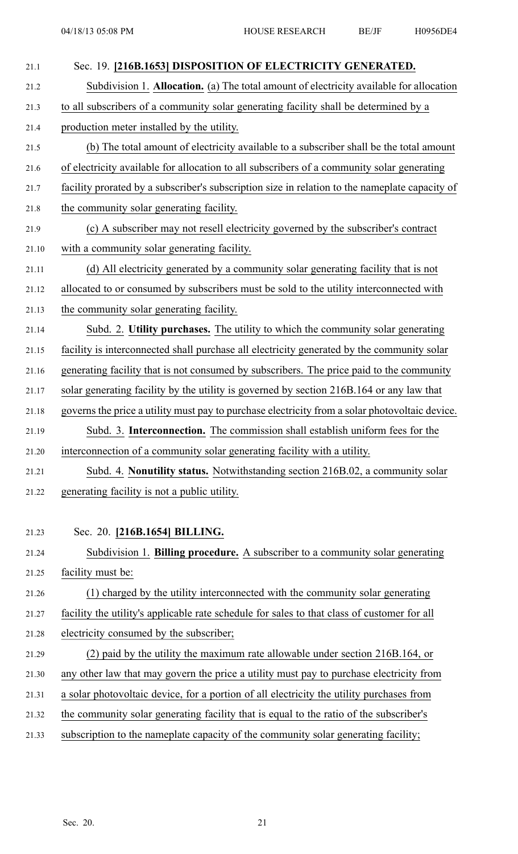| 21.1  | Sec. 19. [216B.1653] DISPOSITION OF ELECTRICITY GENERATED.                                     |
|-------|------------------------------------------------------------------------------------------------|
| 21.2  | Subdivision 1. Allocation. (a) The total amount of electricity available for allocation        |
| 21.3  | to all subscribers of a community solar generating facility shall be determined by a           |
| 21.4  | production meter installed by the utility.                                                     |
| 21.5  | (b) The total amount of electricity available to a subscriber shall be the total amount        |
| 21.6  | of electricity available for allocation to all subscribers of a community solar generating     |
| 21.7  | facility prorated by a subscriber's subscription size in relation to the nameplate capacity of |
| 21.8  | the community solar generating facility.                                                       |
| 21.9  | (c) A subscriber may not resell electricity governed by the subscriber's contract              |
| 21.10 | with a community solar generating facility.                                                    |
| 21.11 | (d) All electricity generated by a community solar generating facility that is not             |
| 21.12 | allocated to or consumed by subscribers must be sold to the utility interconnected with        |
| 21.13 | the community solar generating facility.                                                       |
| 21.14 | Subd. 2. Utility purchases. The utility to which the community solar generating                |
| 21.15 | facility is interconnected shall purchase all electricity generated by the community solar     |
| 21.16 | generating facility that is not consumed by subscribers. The price paid to the community       |
| 21.17 | solar generating facility by the utility is governed by section 216B.164 or any law that       |
| 21.18 | governs the price a utility must pay to purchase electricity from a solar photovoltaic device. |
| 21.19 | Subd. 3. Interconnection. The commission shall establish uniform fees for the                  |
| 21.20 | interconnection of a community solar generating facility with a utility.                       |
| 21.21 | Subd. 4. Nonutility status. Notwithstanding section 216B.02, a community solar                 |
| 21.22 | generating facility is not a public utility.                                                   |
|       |                                                                                                |
| 21.23 | Sec. 20. [216B.1654] BILLING.                                                                  |
| 21.24 | Subdivision 1. Billing procedure. A subscriber to a community solar generating                 |
| 21.25 | facility must be:                                                                              |
| 21.26 | (1) charged by the utility interconnected with the community solar generating                  |
| 21.27 | facility the utility's applicable rate schedule for sales to that class of customer for all    |
| 21.28 | electricity consumed by the subscriber;                                                        |
| 21.29 | (2) paid by the utility the maximum rate allowable under section 216B.164, or                  |
| 21.30 | any other law that may govern the price a utility must pay to purchase electricity from        |
| 21.31 | a solar photovoltaic device, for a portion of all electricity the utility purchases from       |
| 21.32 | the community solar generating facility that is equal to the ratio of the subscriber's         |
| 21.33 | subscription to the nameplate capacity of the community solar generating facility;             |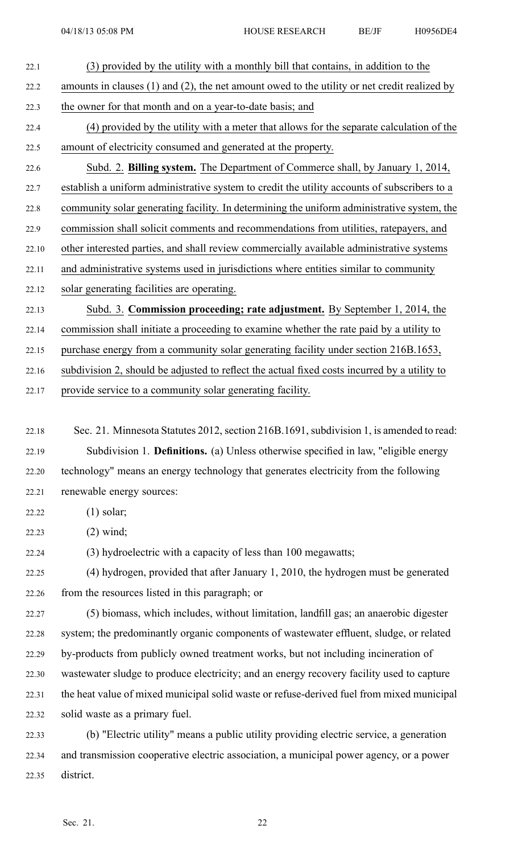- 22.1 (3) provided by the utility with <sup>a</sup> monthly bill that contains, in addition to the 22.2 amounts in clauses (1) and (2), the net amount owed to the utility or net credit realized by 22.3 the owner for that month and on <sup>a</sup> year-to-date basis; and 22.4 (4) provided by the utility with <sup>a</sup> meter that allows for the separate calculation of the 22.5 amount of electricity consumed and generated at the property. 22.6 Subd. 2. **Billing system.** The Department of Commerce shall, by January 1, 2014, 22.7 establish <sup>a</sup> uniform administrative system to credit the utility accounts of subscribers to <sup>a</sup>
- 22.8 community solar generating facility. In determining the uniform administrative system, the 22.9 commission shall solicit comments and recommendations from utilities, ratepayers, and 22.10 other interested parties, and shall review commercially available administrative systems
- 22.11 and administrative systems used in jurisdictions where entities similar to community
- 22.12 solar generating facilities are operating.

22.13 Subd. 3. **Commission proceeding; rate adjustment.** By September 1, 2014, the

22.14 commission shall initiate <sup>a</sup> proceeding to examine whether the rate paid by <sup>a</sup> utility to

22.15 purchase energy from <sup>a</sup> community solar generating facility under section 216B.1653,

22.16 subdivision 2, should be adjusted to reflect the actual fixed costs incurred by <sup>a</sup> utility to

22.17 provide service to <sup>a</sup> community solar generating facility.

22.18 Sec. 21. Minnesota Statutes 2012, section 216B.1691, subdivision 1, is amended to read: 22.19 Subdivision 1. **Definitions.** (a) Unless otherwise specified in law, "eligible energy 22.20 technology" means an energy technology that generates electricity from the following 22.21 renewable energy sources:

22.22 (1) solar;

22.23 (2) wind;

22.24 (3) hydroelectric with <sup>a</sup> capacity of less than 100 megawatts;

22.25 (4) hydrogen, provided that after January 1, 2010, the hydrogen must be generated 22.26 from the resources listed in this paragraph; or

22.27 (5) biomass, which includes, without limitation, landfill gas; an anaerobic digester 22.28 system; the predominantly organic components of wastewater effluent, sludge, or related 22.29 by-products from publicly owned treatment works, but not including incineration of 22.30 wastewater sludge to produce electricity; and an energy recovery facility used to capture 22.31 the heat value of mixed municipal solid waste or refuse-derived fuel from mixed municipal 22.32 solid waste as <sup>a</sup> primary fuel.

22.33 (b) "Electric utility" means <sup>a</sup> public utility providing electric service, <sup>a</sup> generation 22.34 and transmission cooperative electric association, <sup>a</sup> municipal power agency, or <sup>a</sup> power 22.35 district.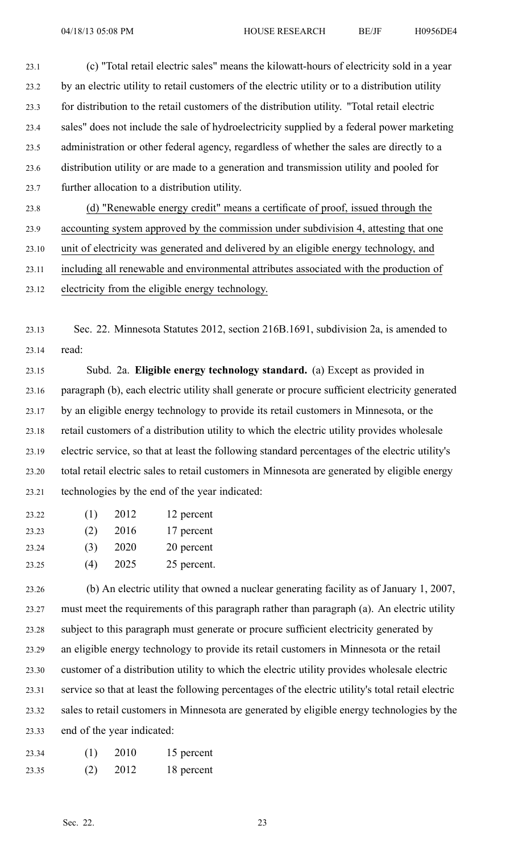23.1 (c) "Total retail electric sales" means the kilowatt-hours of electricity sold in <sup>a</sup> year 23.2 by an electric utility to retail customers of the electric utility or to <sup>a</sup> distribution utility 23.3 for distribution to the retail customers of the distribution utility. "Total retail electric 23.4 sales" does not include the sale of hydroelectricity supplied by <sup>a</sup> federal power marketing 23.5 administration or other federal agency, regardless of whether the sales are directly to <sup>a</sup> 23.6 distribution utility or are made to <sup>a</sup> generation and transmission utility and pooled for 23.7 further allocation to <sup>a</sup> distribution utility.

23.8 (d) "Renewable energy credit" means <sup>a</sup> certificate of proof, issued through the 23.9 accounting system approved by the commission under subdivision 4, attesting that one 23.10 unit of electricity was generated and delivered by an eligible energy technology, and 23.11 including all renewable and environmental attributes associated with the production of 23.12 electricity from the eligible energy technology.

23.13 Sec. 22. Minnesota Statutes 2012, section 216B.1691, subdivision 2a, is amended to 23.14 read:

23.15 Subd. 2a. **Eligible energy technology standard.** (a) Except as provided in 23.16 paragraph (b), each electric utility shall generate or procure sufficient electricity generated 23.17 by an eligible energy technology to provide its retail customers in Minnesota, or the 23.18 retail customers of <sup>a</sup> distribution utility to which the electric utility provides wholesale 23.19 electric service, so that at least the following standard percentages of the electric utility's 23.20 total retail electric sales to retail customers in Minnesota are generated by eligible energy 23.21 technologies by the end of the year indicated:

| 23.22 | (1) | 2012 | 12 percent  |
|-------|-----|------|-------------|
| 23.23 | (2) | 2016 | 17 percent  |
| 23.24 | (3) | 2020 | 20 percent  |
| 23.25 | (4) | 2025 | 25 percent. |

23.26 (b) An electric utility that owned <sup>a</sup> nuclear generating facility as of January 1, 2007, 23.27 must meet the requirements of this paragraph rather than paragraph (a). An electric utility 23.28 subject to this paragraph must generate or procure sufficient electricity generated by 23.29 an eligible energy technology to provide its retail customers in Minnesota or the retail 23.30 customer of <sup>a</sup> distribution utility to which the electric utility provides wholesale electric 23.31 service so that at least the following percentages of the electric utility's total retail electric 23.32 sales to retail customers in Minnesota are generated by eligible energy technologies by the 23.33 end of the year indicated:

| 23.34 | (1) | 2010 | 15 percent |
|-------|-----|------|------------|
| 23.35 | (2) | 2012 | 18 percent |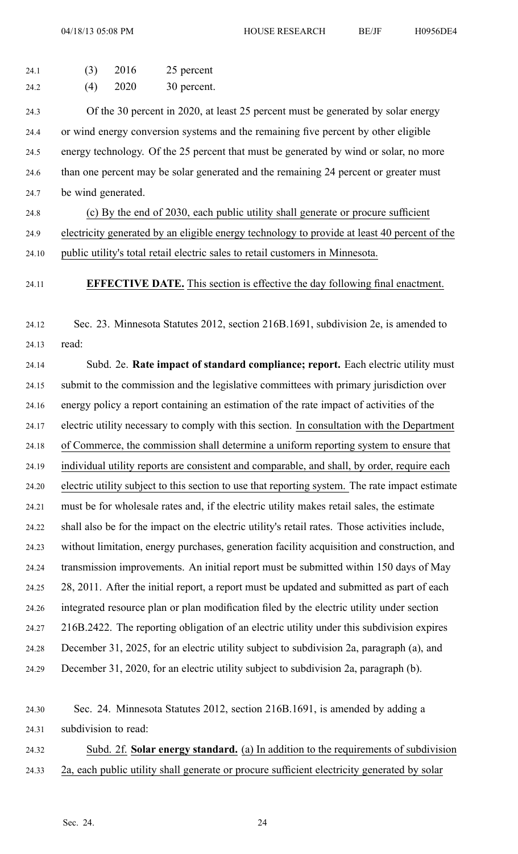04/18/13 05:08 PM HOUSE RESEARCH BE/JF H0956DE4

| 24.1 | (3) | 2016 | 25 percent  |
|------|-----|------|-------------|
| 24.2 | (4) | 2020 | 30 percent. |

24.3 Of the 30 percen<sup>t</sup> in 2020, at least 25 percen<sup>t</sup> must be generated by solar energy 24.4 or wind energy conversion systems and the remaining five percen<sup>t</sup> by other eligible 24.5 energy technology. Of the 25 percen<sup>t</sup> that must be generated by wind or solar, no more 24.6 than one percen<sup>t</sup> may be solar generated and the remaining 24 percen<sup>t</sup> or greater must 24.7 be wind generated.

24.8 (c) By the end of 2030, each public utility shall generate or procure sufficient 24.9 electricity generated by an eligible energy technology to provide at least 40 percen<sup>t</sup> of the 24.10 public utility's total retail electric sales to retail customers in Minnesota.

24.11 **EFFECTIVE DATE.** This section is effective the day following final enactment.

24.12 Sec. 23. Minnesota Statutes 2012, section 216B.1691, subdivision 2e, is amended to 24.13 read:

24.14 Subd. 2e. **Rate impact of standard compliance; report.** Each electric utility must 24.15 submit to the commission and the legislative committees with primary jurisdiction over 24.16 energy policy <sup>a</sup> repor<sup>t</sup> containing an estimation of the rate impact of activities of the 24.17 electric utility necessary to comply with this section. In consultation with the Department 24.18 of Commerce, the commission shall determine <sup>a</sup> uniform reporting system to ensure that 24.19 individual utility reports are consistent and comparable, and shall, by order, require each 24.20 electric utility subject to this section to use that reporting system. The rate impact estimate 24.21 must be for wholesale rates and, if the electric utility makes retail sales, the estimate 24.22 shall also be for the impact on the electric utility's retail rates. Those activities include, 24.23 without limitation, energy purchases, generation facility acquisition and construction, and 24.24 transmission improvements. An initial repor<sup>t</sup> must be submitted within 150 days of May 24.25 28, 2011. After the initial report, <sup>a</sup> repor<sup>t</sup> must be updated and submitted as par<sup>t</sup> of each 24.26 integrated resource plan or plan modification filed by the electric utility under section 24.27 216B.2422. The reporting obligation of an electric utility under this subdivision expires 24.28 December 31, 2025, for an electric utility subject to subdivision 2a, paragraph (a), and 24.29 December 31, 2020, for an electric utility subject to subdivision 2a, paragraph (b).

24.30 Sec. 24. Minnesota Statutes 2012, section 216B.1691, is amended by adding <sup>a</sup> 24.31 subdivision to read:

24.32 Subd. 2f. **Solar energy standard.** (a) In addition to the requirements of subdivision 24.33 2a, each public utility shall generate or procure sufficient electricity generated by solar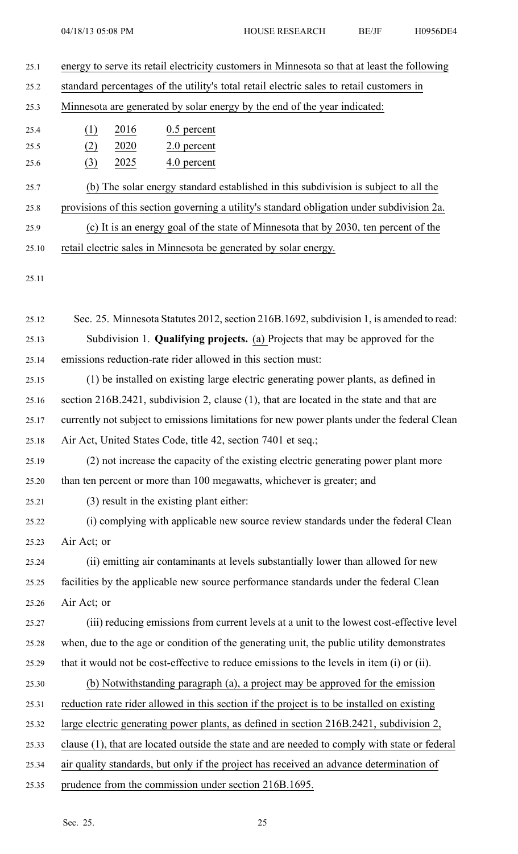| 25.1  |                  |      | energy to serve its retail electricity customers in Minnesota so that at least the following  |
|-------|------------------|------|-----------------------------------------------------------------------------------------------|
| 25.2  |                  |      | standard percentages of the utility's total retail electric sales to retail customers in      |
| 25.3  |                  |      | Minnesota are generated by solar energy by the end of the year indicated:                     |
| 25.4  | (1)              | 2016 | $0.5$ percent                                                                                 |
| 25.5  | (2)              | 2020 | 2.0 percent                                                                                   |
| 25.6  | $\left(3\right)$ | 2025 | 4.0 percent                                                                                   |
| 25.7  |                  |      | (b) The solar energy standard established in this subdivision is subject to all the           |
| 25.8  |                  |      | provisions of this section governing a utility's standard obligation under subdivision 2a.    |
| 25.9  |                  |      | (c) It is an energy goal of the state of Minnesota that by 2030, ten percent of the           |
| 25.10 |                  |      | retail electric sales in Minnesota be generated by solar energy.                              |
| 25.11 |                  |      |                                                                                               |
|       |                  |      |                                                                                               |
| 25.12 |                  |      | Sec. 25. Minnesota Statutes 2012, section 216B.1692, subdivision 1, is amended to read:       |
| 25.13 |                  |      | Subdivision 1. <b>Qualifying projects.</b> (a) Projects that may be approved for the          |
| 25.14 |                  |      | emissions reduction-rate rider allowed in this section must:                                  |
| 25.15 |                  |      | (1) be installed on existing large electric generating power plants, as defined in            |
| 25.16 |                  |      | section 216B.2421, subdivision 2, clause (1), that are located in the state and that are      |
| 25.17 |                  |      | currently not subject to emissions limitations for new power plants under the federal Clean   |
| 25.18 |                  |      | Air Act, United States Code, title 42, section 7401 et seq.;                                  |
| 25.19 |                  |      | (2) not increase the capacity of the existing electric generating power plant more            |
| 25.20 |                  |      | than ten percent or more than 100 megawatts, whichever is greater; and                        |
| 25.21 |                  |      | (3) result in the existing plant either:                                                      |
| 25.22 |                  |      | (i) complying with applicable new source review standards under the federal Clean             |
| 25.23 | Air Act; or      |      |                                                                                               |
| 25.24 |                  |      | (ii) emitting air contaminants at levels substantially lower than allowed for new             |
| 25.25 |                  |      | facilities by the applicable new source performance standards under the federal Clean         |
| 25.26 | Air Act; or      |      |                                                                                               |
| 25.27 |                  |      | (iii) reducing emissions from current levels at a unit to the lowest cost-effective level     |
| 25.28 |                  |      | when, due to the age or condition of the generating unit, the public utility demonstrates     |
| 25.29 |                  |      | that it would not be cost-effective to reduce emissions to the levels in item (i) or (ii).    |
| 25.30 |                  |      | (b) Notwithstanding paragraph (a), a project may be approved for the emission                 |
| 25.31 |                  |      | reduction rate rider allowed in this section if the project is to be installed on existing    |
| 25.32 |                  |      | large electric generating power plants, as defined in section 216B.2421, subdivision 2,       |
| 25.33 |                  |      | clause (1), that are located outside the state and are needed to comply with state or federal |
| 25.34 |                  |      | air quality standards, but only if the project has received an advance determination of       |
| 25.35 |                  |      | prudence from the commission under section 216B.1695.                                         |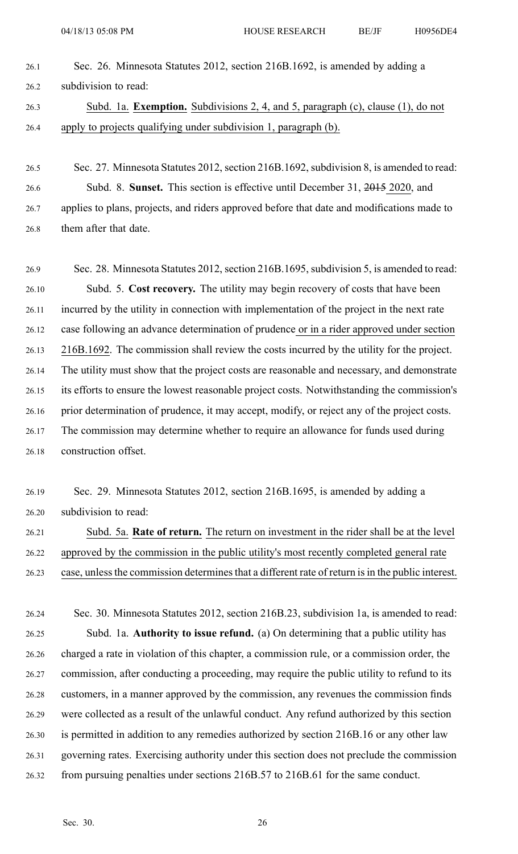- 26.1 Sec. 26. Minnesota Statutes 2012, section 216B.1692, is amended by adding <sup>a</sup> 26.2 subdivision to read: 26.3 Subd. 1a. **Exemption.** Subdivisions 2, 4, and 5, paragraph (c), clause (1), do not 26.4 apply to projects qualifying under subdivision 1, paragraph (b).
- 26.5 Sec. 27. Minnesota Statutes 2012, section 216B.1692, subdivision 8, is amended to read: 26.6 Subd. 8. **Sunset.** This section is effective until December 31, 2015 2020, and 26.7 applies to plans, projects, and riders approved before that date and modifications made to 26.8 them after that date.

26.9 Sec. 28. Minnesota Statutes 2012, section 216B.1695, subdivision 5, is amended to read: 26.10 Subd. 5. **Cost recovery.** The utility may begin recovery of costs that have been 26.11 incurred by the utility in connection with implementation of the project in the next rate 26.12 case following an advance determination of prudence or in <sup>a</sup> rider approved under section 26.13 216B.1692. The commission shall review the costs incurred by the utility for the project. 26.14 The utility must show that the project costs are reasonable and necessary, and demonstrate 26.15 its efforts to ensure the lowest reasonable project costs. Notwithstanding the commission's 26.16 prior determination of prudence, it may accept, modify, or reject any of the project costs. 26.17 The commission may determine whether to require an allowance for funds used during 26.18 construction offset.

26.19 Sec. 29. Minnesota Statutes 2012, section 216B.1695, is amended by adding <sup>a</sup> 26.20 subdivision to read:

26.21 Subd. 5a. **Rate of return.** The return on investment in the rider shall be at the level 26.22 approved by the commission in the public utility's most recently completed general rate 26.23 case, unless the commission determines that a different rate of return is in the public interest.

26.24 Sec. 30. Minnesota Statutes 2012, section 216B.23, subdivision 1a, is amended to read: 26.25 Subd. 1a. **Authority to issue refund.** (a) On determining that <sup>a</sup> public utility has 26.26 charged <sup>a</sup> rate in violation of this chapter, <sup>a</sup> commission rule, or <sup>a</sup> commission order, the 26.27 commission, after conducting <sup>a</sup> proceeding, may require the public utility to refund to its 26.28 customers, in <sup>a</sup> manner approved by the commission, any revenues the commission finds 26.29 were collected as <sup>a</sup> result of the unlawful conduct. Any refund authorized by this section 26.30 is permitted in addition to any remedies authorized by section 216B.16 or any other law 26.31 governing rates. Exercising authority under this section does not preclude the commission 26.32 from pursuing penalties under sections 216B.57 to 216B.61 for the same conduct.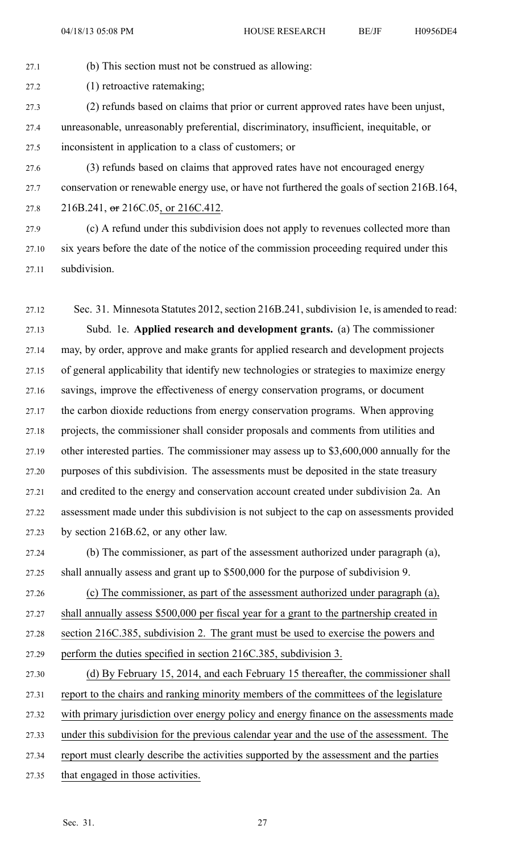27.1 (b) This section must not be construed as allowing:

27.2 (1) retroactive ratemaking;

- 27.3 (2) refunds based on claims that prior or current approved rates have been unjust, 27.4 unreasonable, unreasonably preferential, discriminatory, insufficient, inequitable, or 27.5 inconsistent in application to <sup>a</sup> class of customers; or
- 27.6 (3) refunds based on claims that approved rates have not encouraged energy 27.7 conservation or renewable energy use, or have not furthered the goals of section 216B.164, 27.8 216B.241, or 216C.05, or 216C.412.
- 27.9 (c) A refund under this subdivision does not apply to revenues collected more than 27.10 six years before the date of the notice of the commission proceeding required under this 27.11 subdivision.
- 27.12 Sec. 31. Minnesota Statutes 2012, section 216B.241, subdivision 1e, is amended to read: 27.13 Subd. 1e. **Applied research and development grants.** (a) The commissioner 27.14 may, by order, approve and make grants for applied research and development projects 27.15 of general applicability that identify new technologies or strategies to maximize energy 27.16 savings, improve the effectiveness of energy conservation programs, or document 27.17 the carbon dioxide reductions from energy conservation programs. When approving 27.18 projects, the commissioner shall consider proposals and comments from utilities and 27.19 other interested parties. The commissioner may assess up to \$3,600,000 annually for the 27.20 purposes of this subdivision. The assessments must be deposited in the state treasury 27.21 and credited to the energy and conservation account created under subdivision 2a. An 27.22 assessment made under this subdivision is not subject to the cap on assessments provided 27.23 by section 216B.62, or any other law.
- 27.24 (b) The commissioner, as par<sup>t</sup> of the assessment authorized under paragraph (a), 27.25 shall annually assess and gran<sup>t</sup> up to \$500,000 for the purpose of subdivision 9.

27.26 (c) The commissioner, as par<sup>t</sup> of the assessment authorized under paragraph (a), 27.27 shall annually assess \$500,000 per fiscal year for <sup>a</sup> gran<sup>t</sup> to the partnership created in 27.28 section 216C.385, subdivision 2. The gran<sup>t</sup> must be used to exercise the powers and 27.29 perform the duties specified in section 216C.385, subdivision 3.

- 27.30 (d) By February 15, 2014, and each February 15 thereafter, the commissioner shall 27.31 repor<sup>t</sup> to the chairs and ranking minority members of the committees of the legislature 27.32 with primary jurisdiction over energy policy and energy finance on the assessments made 27.33 under this subdivision for the previous calendar year and the use of the assessment. The 27.34 repor<sup>t</sup> must clearly describe the activities supported by the assessment and the parties
- 27.35 that engaged in those activities.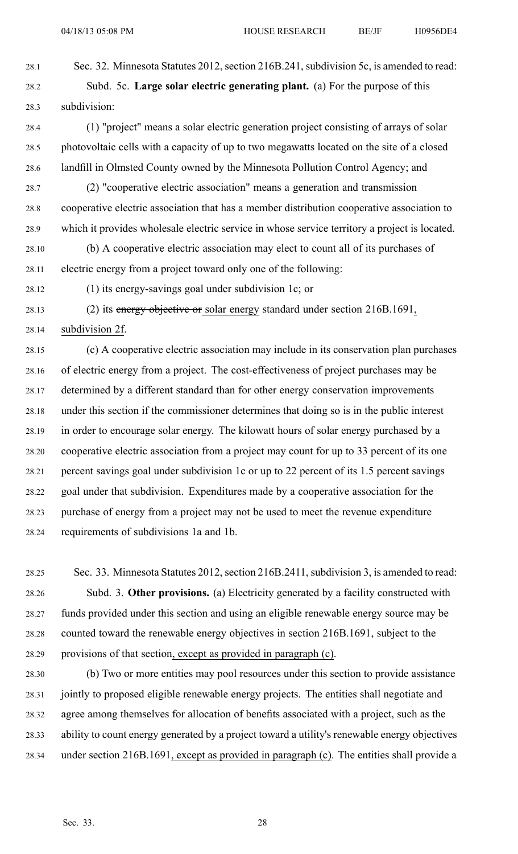04/18/13 05:08 PM HOUSE RESEARCH BE/JF H0956DE4

28.1 Sec. 32. Minnesota Statutes 2012, section 216B.241, subdivision 5c, is amended to read:

28.2 Subd. 5c. **Large solar electric generating plant.** (a) For the purpose of this 28.3 subdivision:

- 28.4 (1) "project" means <sup>a</sup> solar electric generation project consisting of arrays of solar 28.5 photovoltaic cells with <sup>a</sup> capacity of up to two megawatts located on the site of <sup>a</sup> closed 28.6 landfill in Olmsted County owned by the Minnesota Pollution Control Agency; and
- 28.7 (2) "cooperative electric association" means <sup>a</sup> generation and transmission 28.8 cooperative electric association that has <sup>a</sup> member distribution cooperative association to 28.9 which it provides wholesale electric service in whose service territory <sup>a</sup> project is located.
- 28.10 (b) A cooperative electric association may elect to count all of its purchases of 28.11 electric energy from <sup>a</sup> project toward only one of the following:
- 28.12 (1) its energy-savings goal under subdivision 1c; or
- 28.13 (2) its energy objective or solar energy standard under section 216B.1691,

28.14 subdivision 2f.

28.15 (c) A cooperative electric association may include in its conservation plan purchases 28.16 of electric energy from <sup>a</sup> project. The cost-effectiveness of project purchases may be 28.17 determined by <sup>a</sup> different standard than for other energy conservation improvements 28.18 under this section if the commissioner determines that doing so is in the public interest 28.19 in order to encourage solar energy. The kilowatt hours of solar energy purchased by <sup>a</sup> 28.20 cooperative electric association from <sup>a</sup> project may count for up to 33 percen<sup>t</sup> of its one 28.21 percen<sup>t</sup> savings goal under subdivision 1c or up to 22 percen<sup>t</sup> of its 1.5 percen<sup>t</sup> savings 28.22 goal under that subdivision. Expenditures made by <sup>a</sup> cooperative association for the 28.23 purchase of energy from <sup>a</sup> project may not be used to meet the revenue expenditure 28.24 requirements of subdivisions 1a and 1b.

- 28.25 Sec. 33. Minnesota Statutes 2012, section 216B.2411, subdivision 3, is amended to read: 28.26 Subd. 3. **Other provisions.** (a) Electricity generated by <sup>a</sup> facility constructed with 28.27 funds provided under this section and using an eligible renewable energy source may be 28.28 counted toward the renewable energy objectives in section 216B.1691, subject to the 28.29 provisions of that section, excep<sup>t</sup> as provided in paragraph (c).
- 28.30 (b) Two or more entities may pool resources under this section to provide assistance 28.31 jointly to proposed eligible renewable energy projects. The entities shall negotiate and 28.32 agree among themselves for allocation of benefits associated with <sup>a</sup> project, such as the 28.33 ability to count energy generated by <sup>a</sup> project toward <sup>a</sup> utility's renewable energy objectives 28.34 under section 216B.1691, excep<sup>t</sup> as provided in paragraph (c). The entities shall provide <sup>a</sup>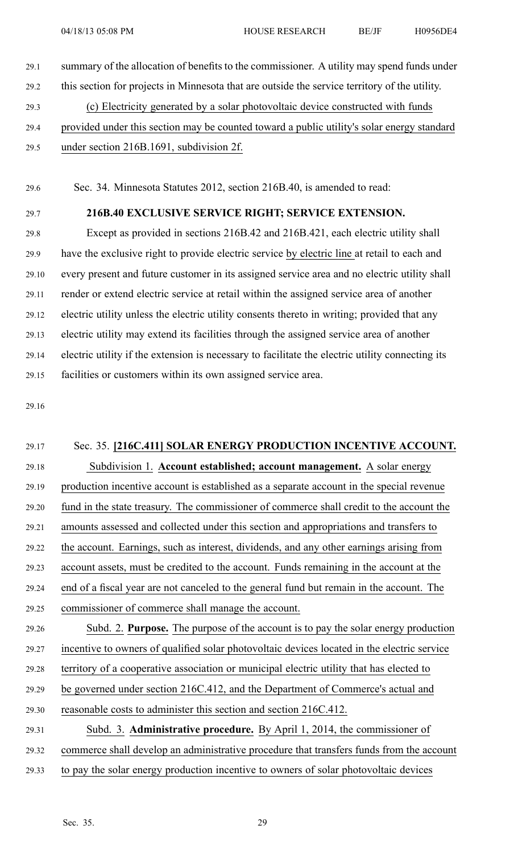29.1 summary of the allocation of benefits to the commissioner. A utility may spend funds under 29.2 this section for projects in Minnesota that are outside the service territory of the utility. 29.3 (c) Electricity generated by <sup>a</sup> solar photovoltaic device constructed with funds 29.4 provided under this section may be counted toward <sup>a</sup> public utility's solar energy standard 29.5 under section 216B.1691, subdivision 2f.

29.6 Sec. 34. Minnesota Statutes 2012, section 216B.40, is amended to read:

### 29.7 **216B.40 EXCLUSIVE SERVICE RIGHT; SERVICE EXTENSION.**

29.8 Except as provided in sections 216B.42 and 216B.421, each electric utility shall 29.9 have the exclusive right to provide electric service by electric line at retail to each and 29.10 every presen<sup>t</sup> and future customer in its assigned service area and no electric utility shall 29.11 render or extend electric service at retail within the assigned service area of another 29.12 electric utility unless the electric utility consents thereto in writing; provided that any 29.13 electric utility may extend its facilities through the assigned service area of another 29.14 electric utility if the extension is necessary to facilitate the electric utility connecting its 29.15 facilities or customers within its own assigned service area.

29.16

# 29.17 Sec. 35. **[216C.411] SOLAR ENERGY PRODUCTION INCENTIVE ACCOUNT.** 29.18 Subdivision 1. **Account established; account management.** A solar energy 29.19 production incentive account is established as <sup>a</sup> separate account in the special revenue 29.20 fund in the state treasury. The commissioner of commerce shall credit to the account the 29.21 amounts assessed and collected under this section and appropriations and transfers to 29.22 the account. Earnings, such as interest, dividends, and any other earnings arising from 29.23 account assets, must be credited to the account. Funds remaining in the account at the 29.24 end of <sup>a</sup> fiscal year are not canceled to the general fund but remain in the account. The 29.25 commissioner of commerce shall manage the account. 29.26 Subd. 2. **Purpose.** The purpose of the account is to pay the solar energy production 29.27 incentive to owners of qualified solar photovoltaic devices located in the electric service 29.28 territory of <sup>a</sup> cooperative association or municipal electric utility that has elected to 29.29 be governed under section 216C.412, and the Department of Commerce's actual and 29.30 reasonable costs to administer this section and section 216C.412. 29.31 Subd. 3. **Administrative procedure.** By April 1, 2014, the commissioner of 29.32 commerce shall develop an administrative procedure that transfers funds from the account 29.33 to pay the solar energy production incentive to owners of solar photovoltaic devices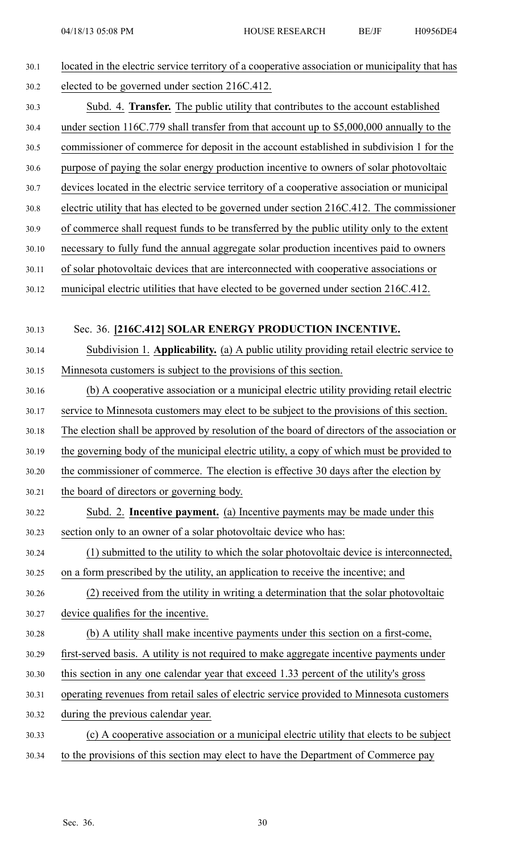| 30.1  | located in the electric service territory of a cooperative association or municipality that has |
|-------|-------------------------------------------------------------------------------------------------|
| 30.2  | elected to be governed under section 216C.412.                                                  |
| 30.3  | Subd. 4. <b>Transfer.</b> The public utility that contributes to the account established        |
| 30.4  | under section 116C.779 shall transfer from that account up to \$5,000,000 annually to the       |
| 30.5  | commissioner of commerce for deposit in the account established in subdivision 1 for the        |
| 30.6  | purpose of paying the solar energy production incentive to owners of solar photovoltaic         |
| 30.7  | devices located in the electric service territory of a cooperative association or municipal     |
| 30.8  | electric utility that has elected to be governed under section 216C.412. The commissioner       |
| 30.9  | of commerce shall request funds to be transferred by the public utility only to the extent      |
| 30.10 | necessary to fully fund the annual aggregate solar production incentives paid to owners         |
| 30.11 | of solar photovoltaic devices that are interconnected with cooperative associations or          |
| 30.12 | municipal electric utilities that have elected to be governed under section 216C.412.           |
|       |                                                                                                 |
| 30.13 | Sec. 36. [216C.412] SOLAR ENERGY PRODUCTION INCENTIVE.                                          |
| 30.14 | Subdivision 1. Applicability. (a) A public utility providing retail electric service to         |
| 30.15 | Minnesota customers is subject to the provisions of this section.                               |
| 30.16 | (b) A cooperative association or a municipal electric utility providing retail electric         |
| 30.17 | service to Minnesota customers may elect to be subject to the provisions of this section.       |
| 30.18 | The election shall be approved by resolution of the board of directors of the association or    |
| 30.19 | the governing body of the municipal electric utility, a copy of which must be provided to       |
| 30.20 | the commissioner of commerce. The election is effective 30 days after the election by           |
| 30.21 | the board of directors or governing body.                                                       |
| 30.22 | Subd. 2. <b>Incentive payment.</b> (a) Incentive payments may be made under this                |
| 30.23 | section only to an owner of a solar photovoltaic device who has:                                |
| 30.24 | (1) submitted to the utility to which the solar photovoltaic device is interconnected,          |
| 30.25 | on a form prescribed by the utility, an application to receive the incentive; and               |
| 30.26 | (2) received from the utility in writing a determination that the solar photovoltaic            |
| 30.27 | device qualifies for the incentive.                                                             |
| 30.28 | (b) A utility shall make incentive payments under this section on a first-come,                 |
| 30.29 | first-served basis. A utility is not required to make aggregate incentive payments under        |
| 30.30 | this section in any one calendar year that exceed 1.33 percent of the utility's gross           |
| 30.31 | operating revenues from retail sales of electric service provided to Minnesota customers        |
| 30.32 | during the previous calendar year.                                                              |
| 30.33 | (c) A cooperative association or a municipal electric utility that elects to be subject         |
| 30.34 | to the provisions of this section may elect to have the Department of Commerce pay              |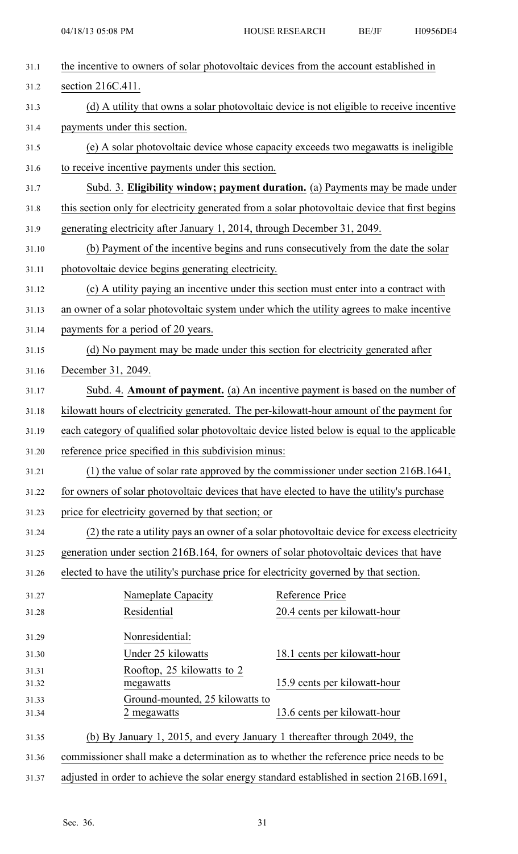| 31.1           | the incentive to owners of solar photovoltaic devices from the account established in          |                              |  |
|----------------|------------------------------------------------------------------------------------------------|------------------------------|--|
| 31.2           | section 216C.411.                                                                              |                              |  |
| 31.3           | (d) A utility that owns a solar photovoltaic device is not eligible to receive incentive       |                              |  |
| 31.4           | payments under this section.                                                                   |                              |  |
| 31.5           | (e) A solar photovoltaic device whose capacity exceeds two megawatts is ineligible             |                              |  |
| 31.6           | to receive incentive payments under this section.                                              |                              |  |
| 31.7           | Subd. 3. Eligibility window; payment duration. (a) Payments may be made under                  |                              |  |
| 31.8           | this section only for electricity generated from a solar photovoltaic device that first begins |                              |  |
| 31.9           | generating electricity after January 1, 2014, through December 31, 2049.                       |                              |  |
| 31.10          | (b) Payment of the incentive begins and runs consecutively from the date the solar             |                              |  |
| 31.11          | photovoltaic device begins generating electricity.                                             |                              |  |
| 31.12          | (c) A utility paying an incentive under this section must enter into a contract with           |                              |  |
| 31.13          | an owner of a solar photovoltaic system under which the utility agrees to make incentive       |                              |  |
| 31.14          | payments for a period of 20 years.                                                             |                              |  |
| 31.15          | (d) No payment may be made under this section for electricity generated after                  |                              |  |
| 31.16          | December 31, 2049.                                                                             |                              |  |
| 31.17          | Subd. 4. Amount of payment. (a) An incentive payment is based on the number of                 |                              |  |
| 31.18          | kilowatt hours of electricity generated. The per-kilowatt-hour amount of the payment for       |                              |  |
| 31.19          | each category of qualified solar photovoltaic device listed below is equal to the applicable   |                              |  |
| 31.20          | reference price specified in this subdivision minus:                                           |                              |  |
| 31.21          | (1) the value of solar rate approved by the commissioner under section 216B.1641,              |                              |  |
| 31.22          | for owners of solar photovoltaic devices that have elected to have the utility's purchase      |                              |  |
| 31.23          | price for electricity governed by that section; or                                             |                              |  |
| 31.24          | (2) the rate a utility pays an owner of a solar photovoltaic device for excess electricity     |                              |  |
| 31.25          | generation under section 216B.164, for owners of solar photovoltaic devices that have          |                              |  |
| 31.26          | elected to have the utility's purchase price for electricity governed by that section.         |                              |  |
| 31.27          | Nameplate Capacity                                                                             | Reference Price              |  |
| 31.28          | Residential                                                                                    | 20.4 cents per kilowatt-hour |  |
| 31.29          | Nonresidential:                                                                                |                              |  |
| 31.30          | Under 25 kilowatts                                                                             | 18.1 cents per kilowatt-hour |  |
| 31.31          | Rooftop, 25 kilowatts to 2<br>megawatts                                                        | 15.9 cents per kilowatt-hour |  |
| 31.32<br>31.33 | Ground-mounted, 25 kilowatts to                                                                |                              |  |
| 31.34          | 2 megawatts                                                                                    | 13.6 cents per kilowatt-hour |  |
| 31.35          | (b) By January 1, 2015, and every January 1 thereafter through 2049, the                       |                              |  |
| 31.36          | commissioner shall make a determination as to whether the reference price needs to be          |                              |  |
| 31.37          | adjusted in order to achieve the solar energy standard established in section 216B.1691,       |                              |  |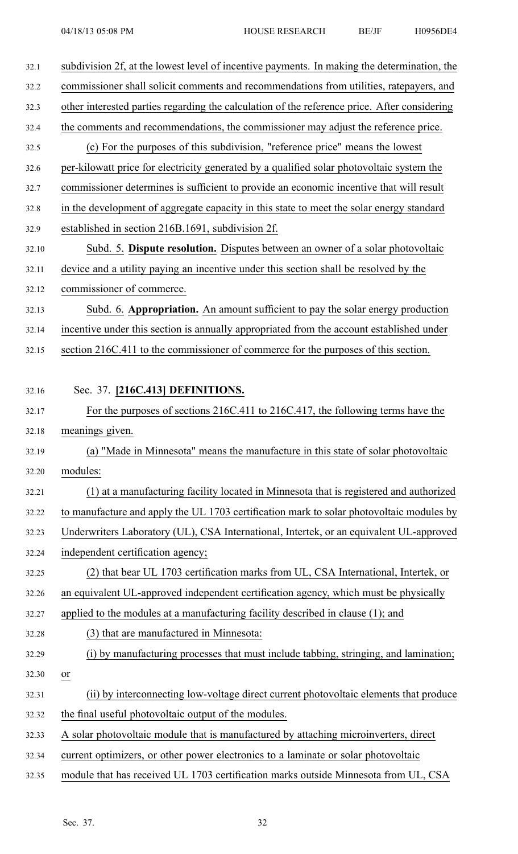| 32.1  | subdivision 2f, at the lowest level of incentive payments. In making the determination, the  |
|-------|----------------------------------------------------------------------------------------------|
| 32.2  | commissioner shall solicit comments and recommendations from utilities, ratepayers, and      |
| 32.3  | other interested parties regarding the calculation of the reference price. After considering |
| 32.4  | the comments and recommendations, the commissioner may adjust the reference price.           |
| 32.5  | (c) For the purposes of this subdivision, "reference price" means the lowest                 |
| 32.6  | per-kilowatt price for electricity generated by a qualified solar photovoltaic system the    |
| 32.7  | commissioner determines is sufficient to provide an economic incentive that will result      |
| 32.8  | in the development of aggregate capacity in this state to meet the solar energy standard     |
| 32.9  | established in section 216B.1691, subdivision 2f.                                            |
| 32.10 | Subd. 5. Dispute resolution. Disputes between an owner of a solar photovoltaic               |
| 32.11 | device and a utility paying an incentive under this section shall be resolved by the         |
| 32.12 | commissioner of commerce.                                                                    |
| 32.13 | Subd. 6. Appropriation. An amount sufficient to pay the solar energy production              |
| 32.14 | incentive under this section is annually appropriated from the account established under     |
| 32.15 | section 216C.411 to the commissioner of commerce for the purposes of this section.           |
|       |                                                                                              |
| 32.16 | Sec. 37. [216C.413] DEFINITIONS.                                                             |
| 32.17 | For the purposes of sections 216C.411 to 216C.417, the following terms have the              |
| 32.18 | meanings given.                                                                              |
| 32.19 | (a) "Made in Minnesota" means the manufacture in this state of solar photovoltaic            |
| 32.20 | modules:                                                                                     |
| 32.21 | (1) at a manufacturing facility located in Minnesota that is registered and authorized       |
| 32.22 | to manufacture and apply the UL 1703 certification mark to solar photovoltaic modules by     |
| 32.23 | Underwriters Laboratory (UL), CSA International, Intertek, or an equivalent UL-approved      |
| 32.24 | independent certification agency;                                                            |
| 32.25 | (2) that bear UL 1703 certification marks from UL, CSA International, Intertek, or           |
| 32.26 | an equivalent UL-approved independent certification agency, which must be physically         |
| 32.27 | applied to the modules at a manufacturing facility described in clause (1); and              |
| 32.28 | (3) that are manufactured in Minnesota:                                                      |
| 32.29 | (i) by manufacturing processes that must include tabbing, stringing, and lamination;         |
| 32.30 | or                                                                                           |
| 32.31 | (ii) by interconnecting low-voltage direct current photovoltaic elements that produce        |
| 32.32 | the final useful photovoltaic output of the modules.                                         |
| 32.33 | A solar photovoltaic module that is manufactured by attaching microinverters, direct         |
| 32.34 | current optimizers, or other power electronics to a laminate or solar photovoltaic           |
| 32.35 | module that has received UL 1703 certification marks outside Minnesota from UL, CSA          |
|       |                                                                                              |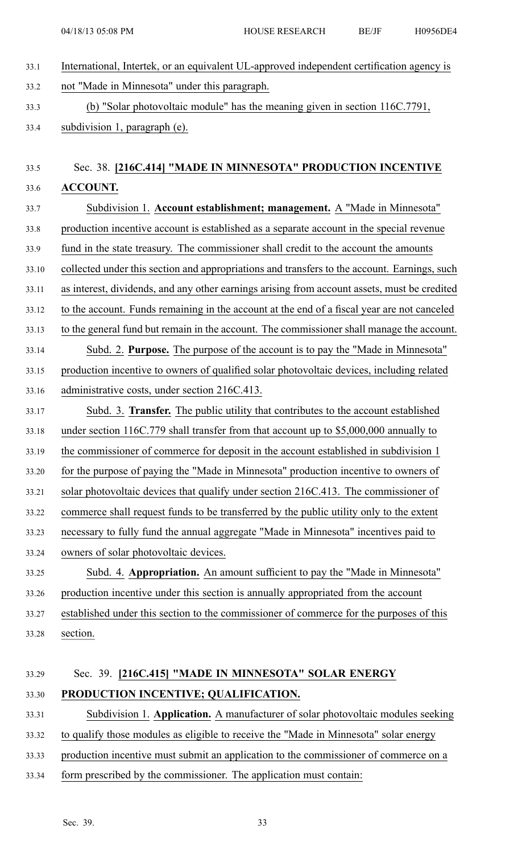33.1 International, Intertek, or an equivalent UL-approved independent certification agency is 33.2 not "Made in Minnesota" under this paragraph. 33.3 (b) "Solar photovoltaic module" has the meaning given in section 116C.7791, 33.4 subdivision 1, paragraph (e).

# 33.5 Sec. 38. **[216C.414] "MADE IN MINNESOTA" PRODUCTION INCENTIVE** 33.6 **ACCOUNT.**

33.7 Subdivision 1. **Account establishment; management.** A "Made in Minnesota" 33.8 production incentive account is established as <sup>a</sup> separate account in the special revenue 33.9 fund in the state treasury. The commissioner shall credit to the account the amounts 33.10 collected under this section and appropriations and transfers to the account. Earnings, such 33.11 as interest, dividends, and any other earnings arising from account assets, must be credited 33.12 to the account. Funds remaining in the account at the end of <sup>a</sup> fiscal year are not canceled 33.13 to the general fund but remain in the account. The commissioner shall manage the account. 33.14 Subd. 2. **Purpose.** The purpose of the account is to pay the "Made in Minnesota" 33.15 production incentive to owners of qualified solar photovoltaic devices, including related 33.16 administrative costs, under section 216C.413. 33.17 Subd. 3. **Transfer.** The public utility that contributes to the account established 33.18 under section 116C.779 shall transfer from that account up to \$5,000,000 annually to 33.19 the commissioner of commerce for deposit in the account established in subdivision 1 33.20 for the purpose of paying the "Made in Minnesota" production incentive to owners of 33.21 solar photovoltaic devices that qualify under section 216C.413. The commissioner of 33.22 commerce shall reques<sup>t</sup> funds to be transferred by the public utility only to the extent 33.23 necessary to fully fund the annual aggregate "Made in Minnesota" incentives paid to 33.24 owners of solar photovoltaic devices. 33.25 Subd. 4. **Appropriation.** An amount sufficient to pay the "Made in Minnesota" 33.26 production incentive under this section is annually appropriated from the account 33.27 established under this section to the commissioner of commerce for the purposes of this 33.28 section.

# 33.29 Sec. 39. **[216C.415] "MADE IN MINNESOTA" SOLAR ENERGY** 33.30 **PRODUCTION INCENTIVE; QUALIFICATION.**

33.31 Subdivision 1. **Application.** A manufacturer of solar photovoltaic modules seeking

- 33.32 to qualify those modules as eligible to receive the "Made in Minnesota" solar energy
- 33.33 production incentive must submit an application to the commissioner of commerce on <sup>a</sup>
- 33.34 form prescribed by the commissioner. The application must contain: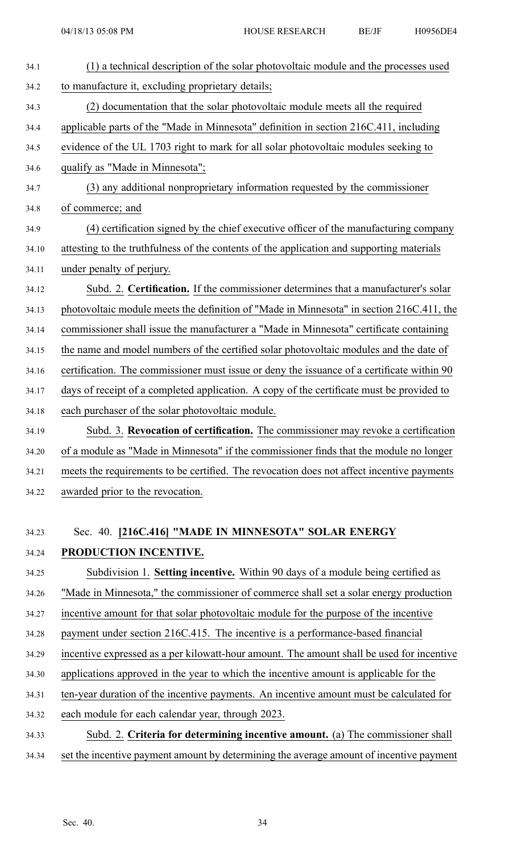| 34.1  | (1) a technical description of the solar photovoltaic module and the processes used        |
|-------|--------------------------------------------------------------------------------------------|
| 34.2  | to manufacture it, excluding proprietary details;                                          |
| 34.3  | (2) documentation that the solar photovoltaic module meets all the required                |
| 34.4  | applicable parts of the "Made in Minnesota" definition in section 216C.411, including      |
| 34.5  | evidence of the UL 1703 right to mark for all solar photovoltaic modules seeking to        |
| 34.6  | qualify as "Made in Minnesota";                                                            |
| 34.7  | (3) any additional nonproprietary information requested by the commissioner                |
| 34.8  | of commerce; and                                                                           |
| 34.9  | (4) certification signed by the chief executive officer of the manufacturing company       |
| 34.10 | attesting to the truthfulness of the contents of the application and supporting materials  |
| 34.11 | under penalty of perjury.                                                                  |
| 34.12 | Subd. 2. Certification. If the commissioner determines that a manufacturer's solar         |
| 34.13 | photovoltaic module meets the definition of "Made in Minnesota" in section 216C.411, the   |
| 34.14 | commissioner shall issue the manufacturer a "Made in Minnesota" certificate containing     |
| 34.15 | the name and model numbers of the certified solar photovoltaic modules and the date of     |
| 34.16 | certification. The commissioner must issue or deny the issuance of a certificate within 90 |
| 34.17 | days of receipt of a completed application. A copy of the certificate must be provided to  |
| 34.18 | each purchaser of the solar photovoltaic module.                                           |
| 34.19 | Subd. 3. Revocation of certification. The commissioner may revoke a certification          |
| 34.20 | of a module as "Made in Minnesota" if the commissioner finds that the module no longer     |
| 34.21 | meets the requirements to be certified. The revocation does not affect incentive payments  |
| 34.22 | awarded prior to the revocation.                                                           |
|       |                                                                                            |
| 34.23 | Sec. 40. [216C.416] "MADE IN MINNESOTA" SOLAR ENERGY                                       |
| 34.24 | PRODUCTION INCENTIVE.                                                                      |
| 34.25 | Subdivision 1. Setting incentive. Within 90 days of a module being certified as            |
| 34.26 | "Made in Minnesota," the commissioner of commerce shall set a solar energy production      |
| 34.27 | incentive amount for that solar photovoltaic module for the purpose of the incentive       |
| 34.28 | payment under section 216C.415. The incentive is a performance-based financial             |
| 34.29 | incentive expressed as a per kilowatt-hour amount. The amount shall be used for incentive  |
| 34.30 | applications approved in the year to which the incentive amount is applicable for the      |
| 34.31 | ten-year duration of the incentive payments. An incentive amount must be calculated for    |
| 34.32 | each module for each calendar year, through 2023.                                          |
| 34.33 | Subd. 2. Criteria for determining incentive amount. (a) The commissioner shall             |
| 34.34 | set the incentive payment amount by determining the average amount of incentive payment    |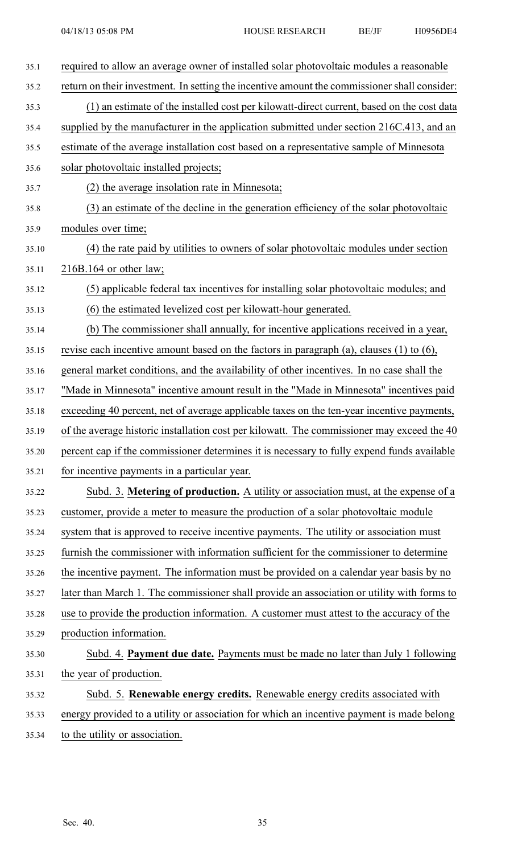| 35.1  | required to allow an average owner of installed solar photovoltaic modules a reasonable      |
|-------|----------------------------------------------------------------------------------------------|
| 35.2  | return on their investment. In setting the incentive amount the commissioner shall consider: |
| 35.3  | (1) an estimate of the installed cost per kilowatt-direct current, based on the cost data    |
| 35.4  | supplied by the manufacturer in the application submitted under section 216C.413, and an     |
| 35.5  | estimate of the average installation cost based on a representative sample of Minnesota      |
| 35.6  | solar photovoltaic installed projects;                                                       |
| 35.7  | (2) the average insolation rate in Minnesota;                                                |
| 35.8  | (3) an estimate of the decline in the generation efficiency of the solar photovoltaic        |
| 35.9  | modules over time;                                                                           |
| 35.10 | (4) the rate paid by utilities to owners of solar photovoltaic modules under section         |
| 35.11 | $216B.164$ or other law;                                                                     |
| 35.12 | (5) applicable federal tax incentives for installing solar photovoltaic modules; and         |
| 35.13 | (6) the estimated levelized cost per kilowatt-hour generated.                                |
| 35.14 | (b) The commissioner shall annually, for incentive applications received in a year,          |
| 35.15 | revise each incentive amount based on the factors in paragraph (a), clauses $(1)$ to $(6)$ , |
| 35.16 | general market conditions, and the availability of other incentives. In no case shall the    |
| 35.17 | "Made in Minnesota" incentive amount result in the "Made in Minnesota" incentives paid       |
| 35.18 | exceeding 40 percent, net of average applicable taxes on the ten-year incentive payments,    |
| 35.19 | of the average historic installation cost per kilowatt. The commissioner may exceed the 40   |
| 35.20 | percent cap if the commissioner determines it is necessary to fully expend funds available   |
| 35.21 | for incentive payments in a particular year.                                                 |
| 35.22 | Subd. 3. Metering of production. A utility or association must, at the expense of a          |
| 35.23 | customer, provide a meter to measure the production of a solar photovoltaic module           |
| 35.24 | system that is approved to receive incentive payments. The utility or association must       |
| 35.25 | furnish the commissioner with information sufficient for the commissioner to determine       |
| 35.26 | the incentive payment. The information must be provided on a calendar year basis by no       |
| 35.27 | later than March 1. The commissioner shall provide an association or utility with forms to   |
| 35.28 | use to provide the production information. A customer must attest to the accuracy of the     |
| 35.29 | production information.                                                                      |
| 35.30 | Subd. 4. Payment due date. Payments must be made no later than July 1 following              |
| 35.31 | the year of production.                                                                      |
| 35.32 | Subd. 5. Renewable energy credits. Renewable energy credits associated with                  |
| 35.33 | energy provided to a utility or association for which an incentive payment is made belong    |
| 35.34 | to the utility or association.                                                               |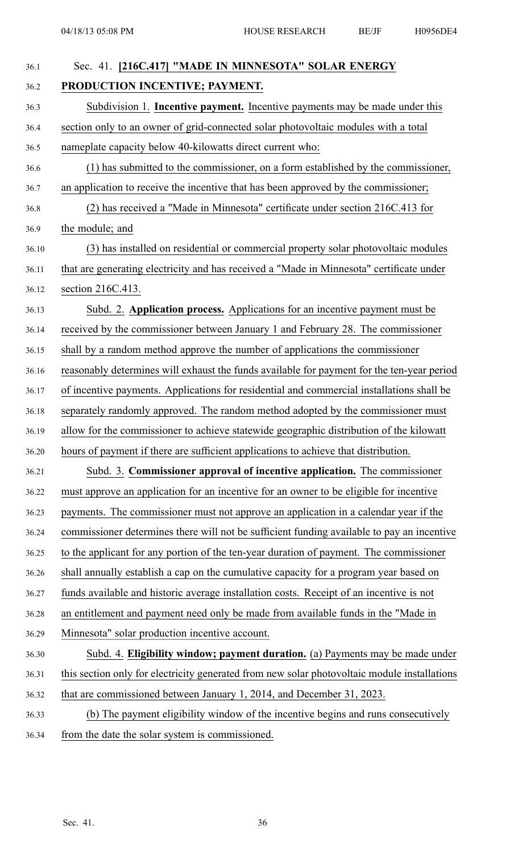| 36.1  | Sec. 41. [216C.417] "MADE IN MINNESOTA" SOLAR ENERGY                                         |
|-------|----------------------------------------------------------------------------------------------|
| 36.2  | PRODUCTION INCENTIVE; PAYMENT.                                                               |
| 36.3  | Subdivision 1. <b>Incentive payment.</b> Incentive payments may be made under this           |
| 36.4  | section only to an owner of grid-connected solar photovoltaic modules with a total           |
| 36.5  | nameplate capacity below 40-kilowatts direct current who:                                    |
| 36.6  | (1) has submitted to the commissioner, on a form established by the commissioner,            |
| 36.7  | an application to receive the incentive that has been approved by the commissioner;          |
| 36.8  | (2) has received a "Made in Minnesota" certificate under section 216C.413 for                |
| 36.9  | the module; and                                                                              |
| 36.10 | (3) has installed on residential or commercial property solar photovoltaic modules           |
| 36.11 | that are generating electricity and has received a "Made in Minnesota" certificate under     |
| 36.12 | section 216C.413.                                                                            |
| 36.13 | Subd. 2. Application process. Applications for an incentive payment must be                  |
| 36.14 | received by the commissioner between January 1 and February 28. The commissioner             |
| 36.15 | shall by a random method approve the number of applications the commissioner                 |
| 36.16 | reasonably determines will exhaust the funds available for payment for the ten-year period   |
| 36.17 | of incentive payments. Applications for residential and commercial installations shall be    |
| 36.18 | separately randomly approved. The random method adopted by the commissioner must             |
| 36.19 | allow for the commissioner to achieve statewide geographic distribution of the kilowatt      |
| 36.20 | hours of payment if there are sufficient applications to achieve that distribution.          |
| 36.21 | Subd. 3. Commissioner approval of incentive application. The commissioner                    |
| 36.22 | must approve an application for an incentive for an owner to be eligible for incentive       |
| 36.23 | payments. The commissioner must not approve an application in a calendar year if the         |
| 36.24 | commissioner determines there will not be sufficient funding available to pay an incentive   |
| 36.25 | to the applicant for any portion of the ten-year duration of payment. The commissioner       |
| 36.26 | shall annually establish a cap on the cumulative capacity for a program year based on        |
| 36.27 | funds available and historic average installation costs. Receipt of an incentive is not      |
| 36.28 | an entitlement and payment need only be made from available funds in the "Made in            |
| 36.29 | Minnesota" solar production incentive account.                                               |
| 36.30 | Subd. 4. Eligibility window; payment duration. (a) Payments may be made under                |
| 36.31 | this section only for electricity generated from new solar photovoltaic module installations |
| 36.32 | that are commissioned between January 1, 2014, and December 31, 2023.                        |
| 36.33 | (b) The payment eligibility window of the incentive begins and runs consecutively            |
| 36.34 | from the date the solar system is commissioned.                                              |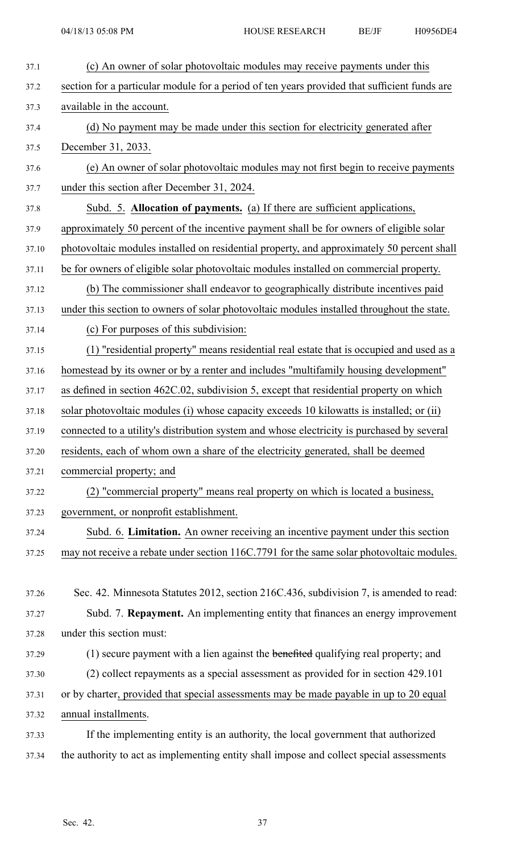| 37.1  | (c) An owner of solar photovoltaic modules may receive payments under this                   |
|-------|----------------------------------------------------------------------------------------------|
| 37.2  | section for a particular module for a period of ten years provided that sufficient funds are |
| 37.3  | available in the account.                                                                    |
| 37.4  | (d) No payment may be made under this section for electricity generated after                |
| 37.5  | December 31, 2033.                                                                           |
| 37.6  | (e) An owner of solar photovoltaic modules may not first begin to receive payments           |
| 37.7  | under this section after December 31, 2024.                                                  |
| 37.8  | Subd. 5. Allocation of payments. (a) If there are sufficient applications,                   |
| 37.9  | approximately 50 percent of the incentive payment shall be for owners of eligible solar      |
| 37.10 | photovoltaic modules installed on residential property, and approximately 50 percent shall   |
| 37.11 | be for owners of eligible solar photovoltaic modules installed on commercial property.       |
| 37.12 | (b) The commissioner shall endeavor to geographically distribute incentives paid             |
| 37.13 | under this section to owners of solar photovoltaic modules installed throughout the state.   |
| 37.14 | (c) For purposes of this subdivision:                                                        |
| 37.15 | (1) "residential property" means residential real estate that is occupied and used as a      |
| 37.16 | homestead by its owner or by a renter and includes "multifamily housing development"         |
| 37.17 | as defined in section 462C.02, subdivision 5, except that residential property on which      |
| 37.18 | solar photovoltaic modules (i) whose capacity exceeds 10 kilowatts is installed; or (ii)     |
| 37.19 | connected to a utility's distribution system and whose electricity is purchased by several   |
| 37.20 | residents, each of whom own a share of the electricity generated, shall be deemed            |
| 37.21 | commercial property; and                                                                     |
| 37.22 | (2) "commercial property" means real property on which is located a business,                |
| 37.23 | government, or nonprofit establishment.                                                      |
| 37.24 | Subd. 6. Limitation. An owner receiving an incentive payment under this section              |
| 37.25 | may not receive a rebate under section 116C.7791 for the same solar photovoltaic modules.    |
|       |                                                                                              |
| 37.26 | Sec. 42. Minnesota Statutes 2012, section 216C.436, subdivision 7, is amended to read:       |
| 37.27 | Subd. 7. Repayment. An implementing entity that finances an energy improvement               |
| 37.28 | under this section must:                                                                     |
| 37.29 | (1) secure payment with a lien against the benefited qualifying real property; and           |
| 37.30 | (2) collect repayments as a special assessment as provided for in section 429.101            |
| 37.31 | or by charter, provided that special assessments may be made payable in up to 20 equal       |
| 37.32 | annual installments.                                                                         |
| 37.33 | If the implementing entity is an authority, the local government that authorized             |
| 37.34 | the authority to act as implementing entity shall impose and collect special assessments     |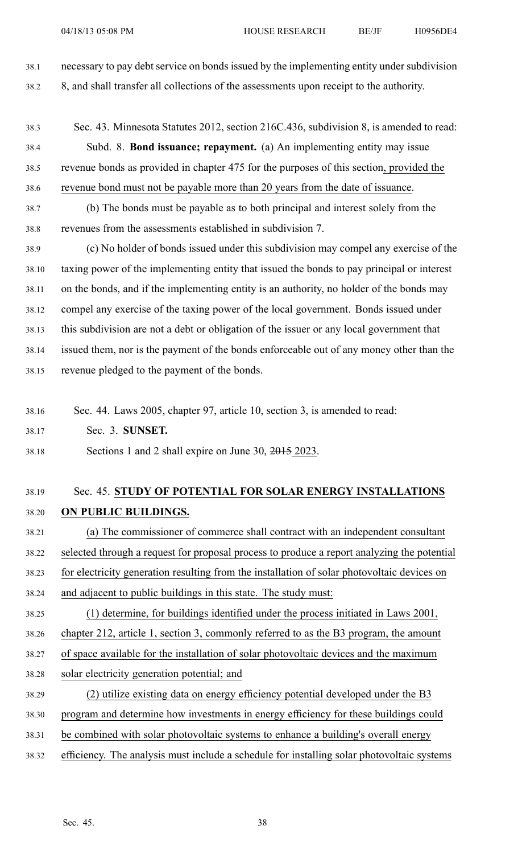38.1 necessary to pay debt service on bonds issued by the implementing entity under subdivision 38.2 8, and shall transfer all collections of the assessments upon receipt to the authority.

- 38.3 Sec. 43. Minnesota Statutes 2012, section 216C.436, subdivision 8, is amended to read: 38.4 Subd. 8. **Bond issuance; repayment.** (a) An implementing entity may issue 38.5 revenue bonds as provided in chapter 475 for the purposes of this section, provided the 38.6 revenue bond must not be payable more than 20 years from the date of issuance.
- 38.7 (b) The bonds must be payable as to both principal and interest solely from the 38.8 revenues from the assessments established in subdivision 7.
- 38.9 (c) No holder of bonds issued under this subdivision may compel any exercise of the 38.10 taxing power of the implementing entity that issued the bonds to pay principal or interest 38.11 on the bonds, and if the implementing entity is an authority, no holder of the bonds may 38.12 compel any exercise of the taxing power of the local government. Bonds issued under 38.13 this subdivision are not <sup>a</sup> debt or obligation of the issuer or any local governmen<sup>t</sup> that 38.14 issued them, nor is the paymen<sup>t</sup> of the bonds enforceable out of any money other than the 38.15 revenue pledged to the paymen<sup>t</sup> of the bonds.
- 38.16 Sec. 44. Laws 2005, chapter 97, article 10, section 3, is amended to read:
- 38.17 Sec. 3. **SUNSET.**
- 38.18 Sections 1 and 2 shall expire on June 30, 2015 2023.

# 38.19 Sec. 45. **STUDY OF POTENTIAL FOR SOLAR ENERGY INSTALLATIONS** 38.20 **ON PUBLIC BUILDINGS.**

- 38.21 (a) The commissioner of commerce shall contract with an independent consultant 38.22 selected through <sup>a</sup> reques<sup>t</sup> for proposal process to produce <sup>a</sup> repor<sup>t</sup> analyzing the potential 38.23 for electricity generation resulting from the installation of solar photovoltaic devices on 38.24 and adjacent to public buildings in this state. The study must:
- 38.25 (1) determine, for buildings identified under the process initiated in Laws 2001, 38.26 chapter 212, article 1, section 3, commonly referred to as the B3 program, the amount 38.27 of space available for the installation of solar photovoltaic devices and the maximum
- 38.28 solar electricity generation potential; and
- 38.29 (2) utilize existing data on energy efficiency potential developed under the B3
- 38.30 program and determine how investments in energy efficiency for these buildings could
- 38.31 be combined with solar photovoltaic systems to enhance <sup>a</sup> building's overall energy
- 38.32 efficiency. The analysis must include <sup>a</sup> schedule for installing solar photovoltaic systems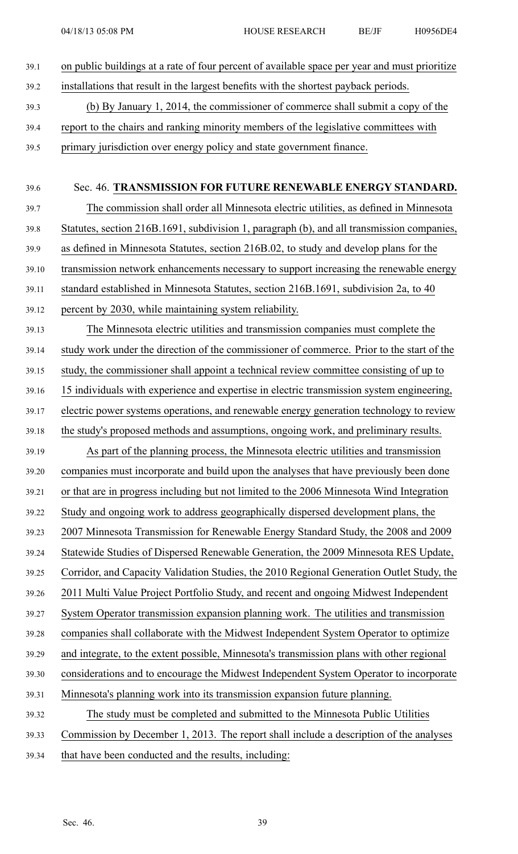39.1 on public buildings at <sup>a</sup> rate of four percen<sup>t</sup> of available space per year and must prioritize 39.2 installations that result in the largest benefits with the shortest payback periods. 39.3 (b) By January 1, 2014, the commissioner of commerce shall submit <sup>a</sup> copy of the 39.4 repor<sup>t</sup> to the chairs and ranking minority members of the legislative committees with 39.5 primary jurisdiction over energy policy and state governmen<sup>t</sup> finance. 39.6 Sec. 46. **TRANSMISSION FOR FUTURE RENEWABLE ENERGY STANDARD.** 39.7 The commission shall order all Minnesota electric utilities, as defined in Minnesota 39.8 Statutes, section 216B.1691, subdivision 1, paragraph (b), and all transmission companies, 39.9 as defined in Minnesota Statutes, section 216B.02, to study and develop plans for the 39.10 transmission network enhancements necessary to suppor<sup>t</sup> increasing the renewable energy 39.11 standard established in Minnesota Statutes, section 216B.1691, subdivision 2a, to 40 39.12 percen<sup>t</sup> by 2030, while maintaining system reliability. 39.13 The Minnesota electric utilities and transmission companies must complete the 39.14 study work under the direction of the commissioner of commerce. Prior to the start of the 39.15 study, the commissioner shall appoint <sup>a</sup> technical review committee consisting of up to 39.16 15 individuals with experience and expertise in electric transmission system engineering, 39.17 electric power systems operations, and renewable energy generation technology to review 39.18 the study's proposed methods and assumptions, ongoing work, and preliminary results. 39.19 As par<sup>t</sup> of the planning process, the Minnesota electric utilities and transmission 39.20 companies must incorporate and build upon the analyses that have previously been done 39.21 or that are in progress including but not limited to the 2006 Minnesota Wind Integration 39.22 Study and ongoing work to address geographically dispersed development plans, the 39.23 2007 Minnesota Transmission for Renewable Energy Standard Study, the 2008 and 2009 39.24 Statewide Studies of Dispersed Renewable Generation, the 2009 Minnesota RES Update, 39.25 Corridor, and Capacity Validation Studies, the 2010 Regional Generation Outlet Study, the 39.26 2011 Multi Value Project Portfolio Study, and recent and ongoing Midwest Independent 39.27 System Operator transmission expansion planning work. The utilities and transmission 39.28 companies shall collaborate with the Midwest Independent System Operator to optimize 39.29 and integrate, to the extent possible, Minnesota's transmission plans with other regional 39.30 considerations and to encourage the Midwest Independent System Operator to incorporate 39.31 Minnesota's planning work into its transmission expansion future planning. 39.32 The study must be completed and submitted to the Minnesota Public Utilities 39.33 Commission by December 1, 2013. The repor<sup>t</sup> shall include <sup>a</sup> description of the analyses 39.34 that have been conducted and the results, including: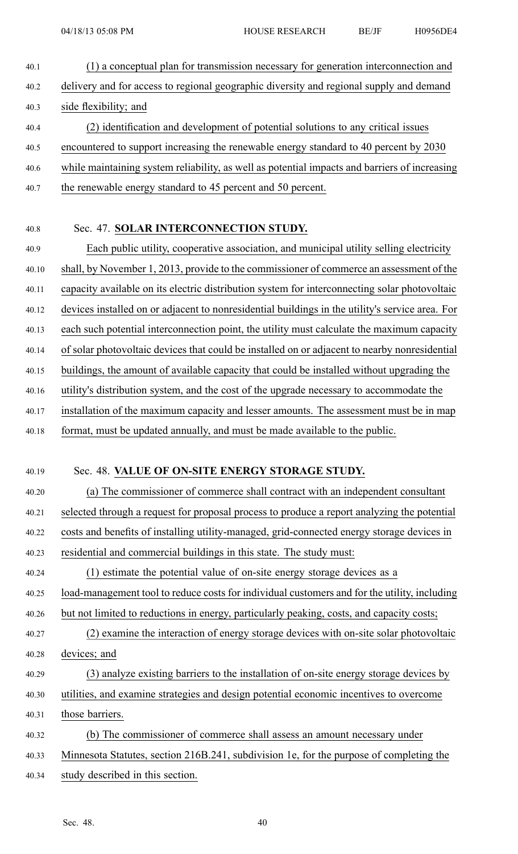- 40.1 (1) <sup>a</sup> conceptual plan for transmission necessary for generation interconnection and 40.2 delivery and for access to regional geographic diversity and regional supply and demand 40.3 side flexibility; and 40.4 (2) identification and development of potential solutions to any critical issues 40.5 encountered to suppor<sup>t</sup> increasing the renewable energy standard to 40 percen<sup>t</sup> by 2030 40.6 while maintaining system reliability, as well as potential impacts and barriers of increasing
- 40.7 the renewable energy standard to 45 percen<sup>t</sup> and 50 percent.

#### 40.8 Sec. 47. **SOLAR INTERCONNECTION STUDY.**

40.9 Each public utility, cooperative association, and municipal utility selling electricity 40.10 shall, by November 1, 2013, provide to the commissioner of commerce an assessment of the 40.11 capacity available on its electric distribution system for interconnecting solar photovoltaic 40.12 devices installed on or adjacent to nonresidential buildings in the utility's service area. For 40.13 each such potential interconnection point, the utility must calculate the maximum capacity 40.14 of solar photovoltaic devices that could be installed on or adjacent to nearby nonresidential 40.15 buildings, the amount of available capacity that could be installed without upgrading the

- 40.16 utility's distribution system, and the cost of the upgrade necessary to accommodate the
- 40.17 installation of the maximum capacity and lesser amounts. The assessment must be in map
- 40.18 format, must be updated annually, and must be made available to the public.

#### 40.19 Sec. 48. **VALUE OF ON-SITE ENERGY STORAGE STUDY.**

40.20 (a) The commissioner of commerce shall contract with an independent consultant 40.21 selected through <sup>a</sup> reques<sup>t</sup> for proposal process to produce <sup>a</sup> repor<sup>t</sup> analyzing the potential 40.22 costs and benefits of installing utility-managed, grid-connected energy storage devices in

- 40.23 residential and commercial buildings in this state. The study must:
- 40.24 (1) estimate the potential value of on-site energy storage devices as <sup>a</sup>
- 40.25 load-management tool to reduce costs for individual customers and for the utility, including
- 40.26 but not limited to reductions in energy, particularly peaking, costs, and capacity costs;
- 40.27 (2) examine the interaction of energy storage devices with on-site solar photovoltaic 40.28 devices; and
- 40.29 (3) analyze existing barriers to the installation of on-site energy storage devices by
- 40.30 utilities, and examine strategies and design potential economic incentives to overcome
- 40.31 those barriers.
- 40.32 (b) The commissioner of commerce shall assess an amount necessary under
- 40.33 Minnesota Statutes, section 216B.241, subdivision 1e, for the purpose of completing the
- 40.34 study described in this section.